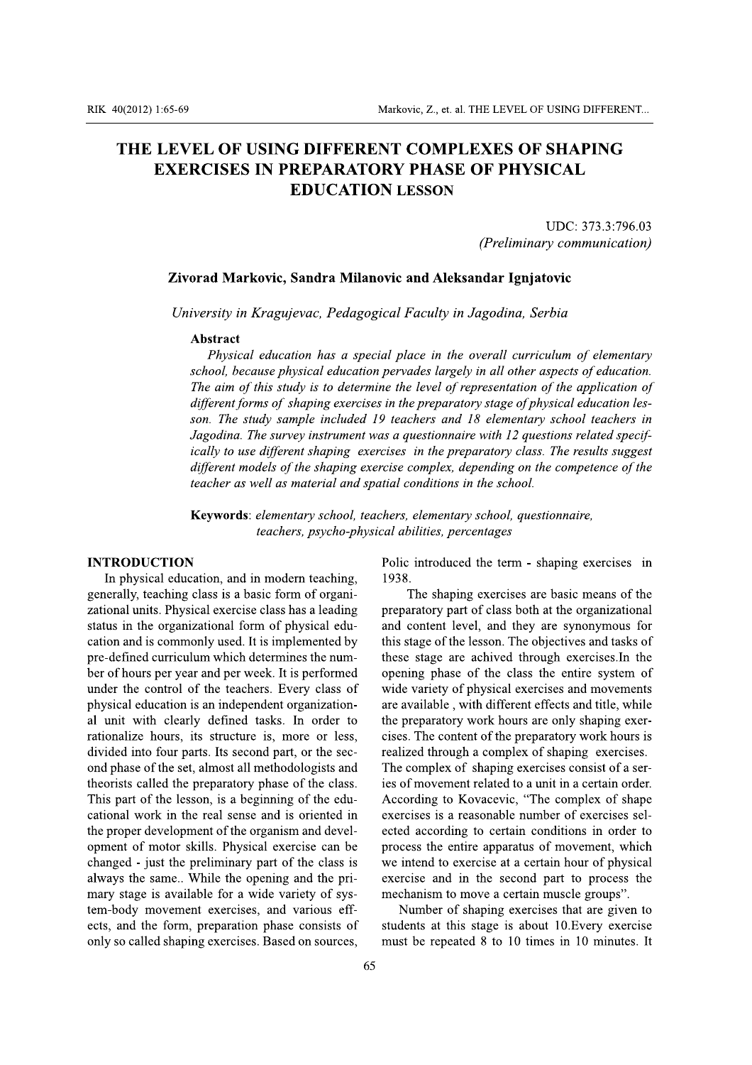### RIK 40(2012) 1:65-69<br>
THE LEVEL<br>
EXERC RIK 40(2012) 1:65-69<br>
THE LEVEL<br>
EXERCI RIK 40(2012) 1:65-69<br>
THE LEVEL OF US<br>
EXERCISES I RIK 40(2012) 1:65-69<br>
THE LEVEL OF USING<br>
EXERCISES IN PR RIK 40(2012) 1:65-69<br>
THE LEVEL OF USING<br>
EXERCISES IN PR RIK 40(2012) 1:65-69<br>
THE LEVEL OF USING<br>
EXERCISES IN PRI **RIK 40(2012) 1:65-69**<br> **THE LEVEL OF USING I**<br> **EXERCISES IN PRE EXERCISES IN PRE** IK 40(2012) 1:65-69<br>
THE LEVEL OF USING D<br>
EXERCISES IN PRE **EXERCISES IN PREDICTM**<br> **EXERCISES IN PREDICTM**  $\times 40(2012) 1:65-69$ <br>
THE LEVEL OF USING DI<br>
EXERCISES IN PREF<br>
EDU  $\begin{array}{c}\n \stackrel{40(2012) \,1:65\text{-}69}\n \quad \text{THE LEVEL OF USING DI\n }\n \quad \text{EXERCISES IN PREF}\n \quad \text{EDU}\n \end{array}$  $\begin{array}{c} \textbf{40(2012) 1:65-69} \\ \textbf{THE LEVEL OF USING DII} \\ \textbf{EXERCISES IN PREP} \\ \textbf{EDU} \end{array}$ 40(2012) 1:65-69<br>
THE LEVEL OF USING DIR<br>
EXERCISES IN PREPAREDU 40(2012) 1:65-69<br>
THE LEVEL OF USING DIF<br>
EXERCISES IN PREPA<br>
EDUC 0(2012) 1:65-69<br>
THE LEVEL OF USING DIF<br>
EXERCISES IN PREPA<br>
EDUC  $\frac{162012}{1:65-69}$ <br>
THE LEVEL OF USING DIFI<br>
EXERCISES IN PREPAL<br>
EDUC  $(2012)$  1:65-69<br>
THE LEVEL OF USING DIFF<br>
EXERCISES IN PREPAREDUC.  $\begin{array}{r}\n \text{(2012) 1:65-69}\n \text{THE LEVEL OF USING DIFF} \n \text{EXERCISES IN PREPAR} \n \text{EDUC/} \end{array}$  $\begin{array}{r} \textbf{2012)} \textbf{1:65-69} \ \textbf{HE} \textbf{LEVEL} \textbf{OF} \textbf{USING DIFF} \ \textbf{EXERCISES} \textbf{IN} \textbf{PREPAR} \ \textbf{EDUCA} \end{array}$  $\begin{array}{l} \text{\small{(012)\texttt{1}:65-69}}\\ \text{HE } L\text{EVEL OF USING DIFF}\\ \text{EXERCISES IN PREPAR} \text{\small{EDUCA}} \end{array}$ <sup>912) 1:65-69</sup><br>HE LEVEL OF USING DIFFE<br>EXERCISES IN PREPARA<br>EDUCA <sup>112) 1:65-69</sup><br>IE LEVEL OF USING DIFFE<br>EXERCISES IN PREPARA<br>EDUCAT <sup>2) 1:65-69</sup><br>E LEVEL OF USING DIFFEI<br>EXERCISES IN PREPARA<br>EDUCAT <sup>2) 1:65-69</sup><br>E LEVEL OF USING DIFFEF<br>EXERCISES IN PREPARAT<br>EDUCAT 2) 1:65-69<br>E LEVEL OF USING DIFFER<br>EXERCISES IN PREPARAT<br>EDUCATI **EXERCISES IN PREPARAT<br>EXERCISES IN PREPARAT<br>EDUCATI** 1:65-69<br>LEVEL OF USING DIFFERI<br>EXERCISES IN PREPARATO<br>EDUCATIO **1:65-69<br>LEVEL OF USING DIFFERE<br>EXERCISES IN PREPARATO<br>EDUCATIO Exercises IN PREPARATO**<br>EXERCISES IN PREPARATO<br>EDUCATIO **ESE-69**<br>LEVEL OF USING DIFFERE<br>EXERCISES IN PREPARATO<br>EDUCATIO 65-69<br>EVEL OF USING DIFFEREI<br>XERCISES IN PREPARATO<br>EDUCATIO 35-69<br>EVEL OF USING DIFFEREN<br>XERCISES IN PREPARATOI<br>EDUCATION 5-69<br>EVEL OF USING DIFFEREN<br>KERCISES IN PREPARATOF<br>EDUCATION Material Concept Material Material Concept Material Concept Material Concept Material Concept Material Concept Material Concept Material Concept Material Concept Material Concept Material Concept Material Concept Material <sup>-69</sup><br>EVEL OF USING DIFFERENT<br>ERCISES IN PREPARATOR<br>EDUCATION <sup>69</sup><br>
VEL OF USING DIFFERENT<br>
ERCISES IN PREPARATORY<br>
EDUCATION Mark<br>
VEL OF USING DIFFERENT<br>
ERCISES IN PREPARATORY<br>
EDUCATION Markey Markey<br>
VEL OF USING DIFFERENT<br>
EDUCATION I Marko<br>
VEL OF USING DIFFERENT<br>
RCISES IN PREPARATORY<br>
EDUCATION L Markov<br>
EL OF USING DIFFERENT<br>
RCISES IN PREPARATORY<br>
EDUCATION LI Markov<br>EL OF USING DIFFERENT (<br>RCISES IN PREPARATORY |<br>EDUCATION LE Markovi<br>EL OF USING DIFFERENT C<br>CISES IN PREPARATORY F<br>EDUCATION LE Markovic<br>
CL OF USING DIFFERENT C<br>
CISES IN PREPARATORY P<br>
EDUCATION LES Markovic<br>
L OF USING DIFFERENT CONNECTS<br>
CISES IN PREPARATORY PREDUCATION LES Markovic,<br>
L OF USING DIFFERENT CO<br>
CISES IN PREPARATORY PI<br>
EDUCATION LES Markovic, Markovic, Markovic, Markovic, Markovic, 2007<br>CISES IN PREPARATORY PHEDUCATION LESS Markovic, 2<br> **OF USING DIFFERENT CO**<br> **ISES IN PREPARATORY PH<br>
EDUCATION LESS** Markovic, Z<br> **OF USING DIFFERENT CO.**<br> **ISES IN PREPARATORY PH<br>
EDUCATION LESS** Markovic, Z.<br> **OF USING DIFFERENT CONSES IN PREPARATORY PH.<br>
EDUCATION LESSON** Markovic, Z.,<br> **OF USING DIFFERENT CON<br>
SES IN PREPARATORY PHAREDUCATION LESSC** Markovic, Z., Markovic, Z., Markovic, Z., J<br>DF USING DIFFERENT COM<br>SES IN PREPARATORY PHA<br>EDUCATION LESSO Markovic, Z., e<br> **DF USING DIFFERENT COM<br>
EDUCATION LESSO** Markovic, Z., et<br>
F USING DIFFERENT COM<br>
ES IN PREPARATORY PHA!<br>
EDUCATION LESSO! Markovic, Z., et.<br> **F USING DIFFERENT COMI**<br>
ES IN PREPARATORY PHAS<br>
EDUCATION LESSON Markovic, Z., et.<br>
F USING DIFFERENT COME<br>
ES IN PREPARATORY PHAS<br>
EDUCATION LESSON Markovic, Z., et. a<br>
TUSING DIFFERENT COMP<br>
S IN PREPARATORY PHASI<br>
EDUCATION LESSON Markovic, Z., et. a<br>
USING DIFFERENT COMP!<br>
S IN PREPARATORY PHASE<br>
EDUCATION LESSON Markovic, Z., et. al<br> **USING DIFFERENT COMPI**<br>
S IN PREPARATORY PHASE<br>
EDUCATION LESSON Markovic, Z., et. al.<br> **USING DIFFERENT COMPL<br>
IN PREPARATORY PHASE<br>
EDUCATION LESSON** Markovic, Z., et. al.<br>
JSING DIFFERENT COMPL<br>
IN PREPARATORY PHASE<br>
EDUCATION LESSON Markovic, Z., et. al. 1<br> **SING DIFFERENT COMPLI**<br> **IN PREPARATORY PHASE**<br> **EDUCATION LESSON** Markovic, Z., et. al. T<br>
SING DIFFERENT COMPLE<br>
IN PREPARATORY PHASE (<br>
EDUCATION LESSON Markovic, Z., et. al. TI<br>
SING DIFFERENT COMPLE<br>
N PREPARATORY PHASE C<br>
EDUCATION LESSON Markovic, Z., et. al. TH<br>
SING DIFFERENT COMPLE<br>
N PREPARATORY PHASE O<br>
EDUCATION LESSON Markovic, Z., et. al. TH<br> **ING DIFFERENT COMPLE:**<br> **N PREPARATORY PHASE O**<br> **EDUCATION LESSON** Markovic, Z., et. al. THE LEVEL ON THE LEVEL ON THE LEVEL ON PREPARATORY PHASE OF PHY<br>
FREPARATORY PHASE OF PHY<br>
EDUCATION LESSON Markovic, Z., et. al. THE LEVEL OF<br>
IFFERENT COMPLEXES OF<br>
PARATORY PHASE OF PHYSI<br>
UCATION LESSON Markovic, Z., et. al. THE LEVEL OF US<br>
FERENT COMPLEXES OF SI<br>
RATORY PHASE OF PHYSIC<br>
CATION LESSON Markovic, Z., et. al. THE LEVEL OF USING<br> **ERENT COMPLEXES OF SHA<br>
ATORY PHASE OF PHYSICA**<br>
TION LESSON Markovic, Z., et. al. THE LEVEL OF USING DIF<br> **RENT COMPLEXES OF SHAPI**<br> **TORY PHASE OF PHYSICAL**<br> **ION LESSON** Aarkovic, Z., et. al. THE LEVEL OF USING DIFFERENT...<br>NT COMPLEXES OF SHAPING<br>RY PHASE OF PHYSICAL<br>N LESSON et. al. THE LEVEL OF USING DIFFERENT...<br>MPLEXES OF SHAPING<br>ASE OF PHYSICAL<br>DN HE LEVEL OF USING DIFFERENT...<br>EXES OF SHAPING<br>OF PHYSICAL RIK 40(2012) 1:65-69<br> **THE LEVEL OF USIN<br>
EXERCISES IN P**<br>
Zivorad Markovic,<br> *University in Kragu* Markovie, Z., et. al. THE LEVEL OF US<br>
THE LEVEL OF USING DIFFERENT COMPLEXES OF SI<br>
EXERCISES IN PREPARATORY PHASE OF PHYSIC<br>
EDUCATION LESSON<br>
UI<br>
Chiversity in Kragujevac, Pedagogical Faculty in Jagodina, Serbi Markovic, Z., et. al. THE LEVEL OF USING DIFFERENT...<br>
RISING DIFFERENT COMPLEXES OF SHAPING<br>
SIN PREPARATORY PHASE OF PHYSICAL<br>
EDUCATION LESSON<br>
UDC: 373.3:796.03<br>
(Preliminary communication)<br>
arkovic, Sandra Milanovic a RIK 40(2012) 1:65-69<br>
THE LEVEL OF USING DIFFERENT COMPLEXES C<br>
EXERCISES IN PREPARATORY PHASE OF PHY<br>
EDUCATION LESSON<br>
(Preliming Zivorad Markovic, Sandra Milanovic and Aleksandar Igr<br>
University in Kragujevac, Pedagogic Markovic, Z., et. al. THE LEVEL OF USING DIFFERENT...<br>
CL OF USING DIFFERENT COMPLEXES OF SHAPING<br>
CISES IN PREPARATORY PHASE OF PHYSICAL<br>
EDUCATION LESSON<br>
UDC: 373.3:796.03<br>
(Preliminary communication)<br>
rad Markovic, San (2012) 1:65-69<br>
Markovic, Z., et. al. THE LEVE<br> **FHE LEVEL OF USING DIFFERENT COMPLEXES<br>
EXERCISES IN PREPARATORY PHASE OF PH<br>
EDUCATION LESSON<br>
(Prelin<br>
Zivorad Markovic, Sandra Milanovic and Aleksandar Ig<br>
University in** Markovic, Z., et. al. THE LEVEL OF USING D<br> **EL OF USING DIFFERENT COMPLEXES OF SHAP<br>
RCISES IN PREPARATORY PHASE OF PHYSICAL<br>
EDUCATION LESSON<br>
UDC: 3<br>
(Preliminary comm<br>
orad Markovic, Sandra Milanovic and Aleksandar Ign** ic, Z., et. al. THE LEVEL OF USING DIFFERENT...<br>
COMPLEXES OF SHAPING<br>
PHASE OF PHYSICAL<br>
UDC: 373.3:796.03<br>
(Preliminary communication)<br>
nd Aleksandar Ignjatovic<br>
Caculty in Jagodina, Serbia<br>
ce in the overall curriculum Example LEVEL OF USING DIFFERENT...<br> **PLEXES OF SHAPING**<br>
SE OF PHYSICAL<br>
N<br>
UDC: 373.3:796.03<br>
(Preliminary communication)<br> **eksandar Ignjatovic**<br>
in Jagodina, Serbia<br>
the overall curriculum of elementary Markovic, Z., et. al. THE LEVEL OF USING DIFFERENT...<br> **FERENT COMPLEXES OF SHAPING**<br> **RATORY PHASE OF PHYSICAL**<br> *ATION LESSON*<br> *DDC*: 373.3:796.03<br> *(Preliminary communication)*<br> **Milanovic and Aleksandar Ignjatovic**<br>

**THE LEVEL OF USING DIFFERENT COMPLEXES OF SHAPING**<br> **EXERCISES IN PREPARATORY PHASE OF PHYSICAL**<br> **EDUCATION LESSON**<br> *(Preliminary communication)*<br> **Zivorad Markovic, Sandra Milanovic and Aleksandar Ignjatovic**<br> *UDC*: 3 ENCATION LESSON<br>
EDUCATION LESSON<br>
(Preliminary communication)<br>
Zivorad Markovic, Sandra Milanovic and Aleksandar Ignjatovic<br>
University in Kragujevac, Pedagogical Faculty in Jagodina, Serbia<br>
Abstract<br>
Physical education **Zivorad Markovic, Sandra Mila**<br>
University in Kragujevac, Pedago<br> **Abstract**<br>
Physical education has a spe<br>
school, because physical educatio<br>
The aim of this study is to detern<br>
different forms of shaping exercis<br>
son. T (Preliminary communication)<br> **Zivorad Markovic, Sandra Milanovic and Aleksandar Ignjatovic**<br>
University in Kragujevac, Pedagogical Faculty in Jagodina, Serbia<br> **Abstract**<br> **Abstract**<br>
Physical education has a special plac Freummary communication)<br>
Thiversity in Kragujevac, Pedagogical Faculty in Jagodina, Serbia<br>
Abstract<br>
Physical education has a special place in the overall curriculum of elementary<br>
Physical education has a special place **Zivorad Markovic, Sandra Milanovic and Aleksandar Ignjatovic**<br>
University in Kragujevac, Pedagogical Faculty in Jagodina, Serbia<br> **Abstract**<br>
Physical education has a special place in the overall curriculum of elementary **Zivoral Markovic, Sandra Milanovic and Aleksandar Ignjatovic**<br>
University in Kragujevac, Pedagogical Faculty in Jagodina, Serbia<br> **Abstract**<br>
Physical education has a special place in the overall curriculum of elementary University in Kragujevac, Pedagogical Faculty in Jagodina, Serbia<br> **Abstract**<br>
Physical education has a special place in the overall curriculum of elementary<br>
school, because physical education pervades largely in all othe University in Kragujevac, Pedagogical Faculty in Jagodina, Serbia<br> **Abstract** Physical education has a special place in the overall curriculum of elementary<br>
school, because physical education pervades largely in all other **Abstract**<br>
Physical education has a special place in the overall curriculum of elementary<br>
school, because physical education pervades largely in all other aspects of education.<br>
The aim of this study is to determine the **Example 11**<br> **Example 2018**<br> **Example 2018**<br> **Example 2018**<br> **Example 2018**<br> **Example 2018**<br> **Example 2018**<br> **Example 2018**<br> **Example 2018**<br> **Example 2018**<br> **Example 2018**<br> **Example 2018**<br> **Example 2018**<br> **Example 2018**<br> mysical equication has a special place in me overall curriculum of elementary<br>school, because physical elucation pervades largely in all other aspects of education.<br>The aim of this study is to determine the level of repres Fre ann of mus study is to determine in every of representation of<br>different forms of shaping exercises in the preparatory stage of physical education les-<br>son. The study sample included 19 teachers and 18 elementary schoo any exercises in the preparatory stage of physical ealidation is<br>son. The study sample included 19 teachers and 18 elementary school teachers<br>Jagodina. The survey instrument was a questionnaire with 12 questions related sp

Jagoaine<br>
ically to<br>
different<br>
teacher<br> **Keywor**<br> **Keywor**<br> **Keywor**<br> **Keywor**<br> **Keywor**<br> **Keywor**<br> **Keywor**<br> **Keywor**<br> **Keywor**<br> **Keywor**<br> **Reywor**<br> **INDICADE EXEMPLE ANDE EXEMPLE AND EXEMPLE AND EXEMPLE A<br>
status in the** Jagoana. The survically to use different<br>
ically to use different<br>
different models of<br>
teacher as well as i<br> **Keywords**: elemen<br>
teacher<br> **Keywords**: elemen<br>
teacher<br> **Keywords**: elemen<br>
teacher<br> **Keywords**: elemen<br>
teach Jagoana. The survey in<br>
ically to use different sk<br>
different models of the s<br>
teacher as well as mate<br> **Keywords**: elementary<br>
teachers, ps<br> **Keywords**: elementary<br>
teachers, ps<br> **INTRODUCTION**<br>
In physical education, and ically to us<br>different m<br>teacher as<br>**Keywords**<br>**Keywords**<br>**Keywords**<br>**Keywords**<br>**Keywords**<br>**Keywords**<br>**Keywords**<br>**Keywords**<br>**Keywords**<br>**Consequentation**, and<br>generally, teaching class is a b<br>zational units. Physical exerci cally to use different models of t<br>different models of t<br>teacher as well as n<br>**Keywords**: element<br>teacher.<br>**INTRODUCTION**<br>In physical education, and in model<br>generally, teaching class is a basic form<br>zational units. Physic ically to use different shaping<br>different models of the shaping<br>teacher as well as material and<br>**Keywords**: elementary school,<br>teachers, psycho-p<br>**INTRODUCTION**<br>In physical education, and in modern teaching,<br>generally, tea really to use different shaping exer<br>different models of the shaping exer<br>different models of the shaping exer<br>teacher as well as material and spa<br>**Keywords**: elementary school, teac<br>teachers, psycho-physic<br>**NTRODUCTION**<br>I interior and the set of the shaping exercised<br>ifferent models of the shaping exercised ifferent models of the shaping exercised<br>teacher as well as material and spatia<br>**Keywords**: elementary school, teacher<br>teachers, psycho in the different models of the shaping exercises in the different models of the shaping exercise compioned teacher as well as material and spatial conditional exercise teachers, psycho-physical abilities<br> **Exercise:** Hen t in the preparation of the shaping exercises in the preparatifferent models of the shaping exercises complex, deper<br>teacher as well as material and spatial conditions in the<br>**Keywords**: elementary school, teachers, elementa atyperent model.<br>
teacher as well<br>
teacher as well<br>
tea<br>
tea<br>
tea<br> **Keywords**: ele.<br>
tea<br>
tea<br> **Keywords**: ele.<br>
tea<br>
tea<br>
tea<br> **Keywords**: ele.<br>
tea<br>
tea<br>
mand in m<br>
generally, teaching class is a basic<br>
zational units. P atternational models of the situation of the situation of the situations, the **Keywords**: *elementary* situations, ps.<br> **INTRODUCTION**<br>
In physical education, and in modern teachers, ps.<br> **INTRODUCTION**<br>
In physical educat atyperent models of the shaping<br>teacher as well as material an<br>**Keywords**: elementary school<br>teachers, psycho-<br>**INTRODUCTION**<br>In physical education, and in modern teaching<br>generally, teaching class is a basic form of organ atyperent models of the shaping a<br>teacher as well as material and<br>**Keywords**: elementary school, t<br>teachers, psycho-ph<br>**INTRODUCTION**<br>In physical education, and in modern teaching,<br>generally, teaching class is a basic form atyperent models of the shaping ex-<br>teacher as well as material and sp<br>**Keywords:** elementary school, tec<br>teachers, psycho-phys<br>**TRODUCTION**<br>In physical education, and in modern teaching,<br>nerally, teaching class is a basic atyperent models of the shaping exercise<br>teacher as well as material and spatial<br>**Keywords**: elementary school, teachers<br>teachers, psycho-physical a<br>**RODUCTION** Polin<br>n physical education, and in modern teaching, 1938<br>rall aytherent models of the shaping exercise comp<br>teacher as well as material and spatial condi<br>**Keywords**: elementary school, teachers, elem<br>teachers, psycho-physical abilitie<br>**UCTION** Polic intro<br>sical education, and in mode atyperant models of the shaping exercise complex<br>teacher as well as material and spatial condition<br>Keywords: elementary school, teachers, elemental<br>teachers, psycho-physical abilities,<br>ION<br>Polic introducation, and in moder atyperent models of the shaping exercise complex, aeper-<br>teacher as well as material and spatial conditions in the<br>Keywords: elementary school, teachers, elementary sc<br>teachers, psycho-physical abilities, percent<br>N<br>Polic i *teacher as we*<br> **Keywords:** *e.*<br> *te*<br> **INTRODUCTION**<br>
In physical education, and in<br>
generally, teaching class is a bas<br>
zational units. Physical exercise c<br>
status in the organizational form<br>
cation and is commonly use *Example 18 Feature as well as r*<br>**Example 2018**<br>**Example 2019**<br>**Example 2019**<br>**Example 2019**<br>**Example 2019**<br>**Example 2019**<br>**Example 2019**<br>**Example 2019**<br>**Example 2019**<br>**Example 2019**<br>**Example 2019**<br>**Example 2019**<br>**Example** *teacher as well as material a*<br>**Keywords**: *elementary scho*<br>teachers, psycho<br>**INTRODUCTION**<br>In physical education, and in modern teaching<br>generally, teaching class is a basic form of orga<br>zational units. Physical exercis *Examplementary school, teacher as well as material and spaticle and spaticle in teachers, psycho-physical INTRODUCTION<br>
In physical education, and in modern teaching, 19<br>
generally, teaching class is a basic form of org Examplemental and spatial con*<br> **Examplemental and spatial condition**<br> **Examplemental and spatial condition**<br> **Examplemental and in modern teaching,**<br> **Polic in the spatial education, and in modern teaching,**<br> **Polic i**<br> *Examplemental and spatial conditional deacher as well as material and spatial conditional education, and in modern teaching,* Polic intro all education, and in modern teaching, 1938.<br>
aching class is a basic form of organ teacher as well as material and spatial condition<br>
Keywords: elementary school, teachers, elemen<br>
teachers, psycho-physical abilities,<br>
ON<br>
Polic introducation, and in modern teaching,<br>
1938.<br>
In polic introducation, and i *Examplemental Leaden Case well as material and spatial conditions in th*<br> **Keywords:** *elementary school, teachers, elementary school, teachers, psycho-physical abilities, percen*<br> **N** Polic introduced th<br>
polic introdu Keywords:<br>
Keywords:<br>
INTRODUCTION<br>
In physical education, and<br>
generally, teaching class is a b<br>
zational units. Physical exercis<br>
status in the organizational fo<br>
cation and is commonly used. I<br>
pre-defined curriculum wh **Keywords:** *el*<br> *te*<br> *te*<br> **INTRODUCTION**<br>
In physical education, and in 1<br>
generally, teaching class is a basi<br>
zational units. Physical exercise c<br>
status in the organizational form<br>
cation and is commonly used. It is **Keywords:** *eleme*<br>teach<br>teach<br>teach<br>teach<br>In physical education, and in mod<br>generally, teaching class is a basic fo<br>zational units. Physical exercise class<br>status in the organizational form of j<br>cation and is commonly us **Keywords:** *elementary school, to*<br>*teachers, psycho-phy*<br>**INTRODUCTION**<br>In physical education, and in modern teaching,<br>generally, teaching class is a basic form of organizational units. Physical exercise class has a lead **Keywords:** *elementary school, teachers*<br>*teachers, psycho-physical*<br>**CRODUCTION** Pol<br>In physical education, and in modern teaching,<br>192<br>erally, teaching class is a basic form of organi-<br>onal units. Physical exercise clas **Keywords:** *elementary school, teachers, teachers, psycho-physical abl*<br> **DUCTION** Polic<br>
ysical education, and in modern teaching, 1938.<br>
1938.<br>
1938. Conting class is a basic form of organi-<br>
inits. Physical exercise Keywords: *elementary school, teachers, elementary teachers, psycho-physical abilities, per*<br>
CTION<br>
Polic introduce<br>
cal education, and in modern teaching, 1938.<br>
aching class is a basic form of organi-<br>
In shaping the sa **eywords:** *elementary school, teachers, elementary school, teachers, psycho-physical abilities, percent*<br>
Polic introduced th<br>
Polic introduced th<br>
Represent<br>
Evaluation, and in modern teaching,<br>
also is a basic form of o **Keywords:**<br> **Keywords:**<br>
In physical education, and i<br>
generally, teaching class is a ba<br>
zational units. Physical exercise<br>
status in the organizational for<br>
cation and is commonly used. I<br>
pre-defined curriculum which c **Keywords:** *elen*<br>tead<br>tead<br>tead<br>tead<br>tead<br>INTRODUCTION<br>In physical education, and in m<br>generally, teaching class is a basic<br>zational units. Physical exercise cla<br>status in the organizational form o<br>cation and is commonly **Keywords:** *eleme*<br>teache<br>teache<br>teache<br>teachers is a physical education, and in mod<br>generally, teaching class is a basic for<br>zational units. Physical exercise class<br>status in the organizational form of  $\eta$ <br>cation and is **Keywords:** *elementary schoof*<br>*teachers, psycho-<br>teachers, psycho-<br>INTRODUCTION*<br>In physical education, and in modern teachin<br>generally, teaching class is a basic form of organ<br>zational units. Physical exercise class has **Keywords:** *elementary school, tead*<br>*teachers, psycho-physi*<br>**INTRODUCTION**<br>In physical education, and in modern teaching,<br>generally, teaching class is a basic form of organizational units. Physical exercise class has a **Examplementary school, teach that the school is absoluted that the school is absoluted that the physical education, and in modern teaching, I'vertify ally, teaching class is a basic form of organinal units. Physical exerc Examplementary school, teachers**<br>
teachers, psycho-physical c<br> **DDUCTION** Polin<br>
hysical education, and in modern teaching, 193<br>
ly, teaching class is a basic form of organi-<br>
lunits. Physical exercise class has a leading **Examplementary** school, teachers, elementary<br>
teachers, psycho-physical abilities, perce<br> **OUCTION**<br>
Polic introduced<br>
Sical education, and in modern teaching,<br>
1938.<br>
teaching class is a basic form of organi-<br>
The shapin **Example 19 The Matter School, the Example 19 The Mathems, provided that and in modern teaching,** and in modern teaching, 1938.<br>
Bolic introduced that in modern teaching, 1938.<br>
In the shaping exercise class has a leading teach<br>INTRODUCTION<br>In physical education, and in mo<br>generally, teaching class is a basic fe<br>zational units. Physical exercise class<br>status in the organizational form of<br>cation and is commonly used. It is in<br>pre-defined cur *teachers, psychoma and in modern teachers, psychoma in physical education, and in modern teaching enerally, teaching class is a basic form of orga zational units. Physical exercise class has a leadi status in the organiza teachers, psycho-physi*<br>INTRODUCTION<br>In physical education, and in modern teaching,<br>generally, teaching class is a basic form of organi-<br>zational units. Physical exercise class has a leading<br>status in the organizational f teachers, psycho-physical abilities<br> **RODUCTION**<br>
Polic intro<br>
physical education, and in modern teaching,<br>
1938.<br>
2013, teaching class is a basic form of organi-<br>
The shall units. Physical exercise class has a leading<br>
in teachers, psycho-physical abilities, pe<br>
DN<br>
Polic introduce<br>
ulucation, and in modern teaching,<br>
1938.<br>
ng class is a basic form of organi-<br>
The shapi<br>
nysical exercise class has a leading<br>
preparatory pa<br>
anizational for *teachers, psycho-physical abilities, percent*<br>
Polic introduced th<br>
reading, and in modern teaching, 1938.<br>
Polic introduced th<br>
reading and text of organi-<br>
The shaping exact are stage class has a leading preparatory par INTRODUCTION<br>In physical education, ar<br>generally, teaching class is a<br>zational units. Physical exerc<br>status in the organizational<br>cation and is commonly use<br>pre-defined curriculum whic<br>ber of hours per year and pe<br>under th **INTRODUCTION**<br>In physical education, and i<br>generally, teaching class is a b-<br>zational units. Physical exercis<br>status in the organizational for<br>cation and is commonly used. I<br>pre-defined curriculum which to<br>ber of hours pe INTRODUCTION<br>In physical education, and in mod<br>generally, teaching class is a basic fo<br>zational units. Physical exercise class<br>status in the organizational form of<br>cation and is commonly used. It is im<br>pre-defined curricul INTRODUCTION<br>In physical education, and in modern<br>generally, teaching class is a basic form<br>zational units. Physical exercise class has<br>status in the organizational form of phy<br>cation and is commonly used. It is impler<br>pre INTRODUCTION<br>In physical education, and in modern teac<br>generally, teaching class is a basic form of or<br>zational units. Physical exercise class has a lea<br>status in the organizational form of physical<br>cation and is commonly INTRODUCTION<br>In physical education, and in modern teaching<br>generally, teaching class is a basic form of organi<br>zational units. Physical exercise class has a leading<br>status in the organizational form of physical edu<br>cation INTRODUCTION<br>In physical education, and in modern teaching,<br>generally, teaching class is a basic form of organi-<br>attional units. Physical exercise class has a leading<br>tattus in the organizational form of physical edu-<br>atti **RODUCTION** Polic<br>
n physical education, and in modern teaching,<br>
1938<br>
rally, teaching class is a basic form of organi-<br>
nand units. Physical exercise class has a leading<br>
preparational and is commonly used. It is impleme Folic in Folic in Folic in Folic in Folic in Folic in Folic in the detection, and in modern teaching, 1938.<br>
Its. Physical exercise class has a leading preparate organizational form of physical edu-<br>
is commonly used. It i Polic intr<br>
Polic intr<br>
al education, and in modern teaching,<br>
1938.<br>
I. Physical exercise class has a leading<br>
organizational form of physical edu-<br>
commonly used. It is implemented by<br>
this stage<br>
uurriculum which determ Folic introduced the ducation, and in modern teaching,<br>
Polic introduced the ducation, and in modern teaching,<br>
Physical exercise class has a leading<br>
preparatory part of<br>
ganizational form of physical edu-<br>
mmonly used. I INTRODUCTION<br>In physical education, and<br>generally, teaching class is a b<br>zational units. Physical exercis<br>status in the organizational fo<br>cation and is commonly used. I<br>pre-defined curriculum which o<br>ber of hours per year INTRODUCTION<br>In physical education, and in m<br>generally, teaching class is a basic<br>zational units. Physical exercise cla<br>status in the organizational form c<br>cation and is commonly used. It is<br>pre-defined curriculum which de INTRODUCTION<br>In physical education, and in modern to<br>generally, teaching class is a basic form of<br>zational units. Physical exercise class has a<br>status in the organizational form of physic<br>cation and is commonly used. It is INTRODUCTION<br>In physical education, and in modern teacl<br>generally, teaching class is a basic form of org<br>zational units. Physical exercise class has a lea<br>status in the organizational form of physical<br>cation and is commonl INTRODUCTION<br>In physical education, and in modern teaching<br>generally, teaching class is a basic form of organi<br>zational units. Physical exercise class has a leading<br>status in the organizational form of physical edu<br>cation Police THE<br>
In physical education, and in modern teaching,<br>
generally, teaching class is a basic form of organi-<br>
attus in the organizational form of physical edu-<br>
and<br>
attion and is commonly used. It is implemented by<br>
t Polic introduction, and in modern teaching,<br>
Polic introduction, and in modern teaching,<br>
ISS.<br>
Etaching class is a basic form of organi-<br>
In the shits. Physical exercise class has a leading<br>
preparatory<br>
is commonly used. Polic introduced<br>
ucation, and in modern teaching,<br>
g class is a basic form of organi-<br>
mizational form of physical edu-<br>
mizational form of physical edu-<br>
monly used. It is implemented by<br>
this stage of the lead<br>
ulum whi Polic introduced th<br>
n, and in modern teaching,<br>
is is a basic form of organi-<br>
exercise class has a leading<br>
preparatory part of<br>
onal form of physical edu-<br>
integral and content level,<br>
this stage of the less<br>
which dete In physical education, and in<br>generally, teaching class is a basi<br>zational units. Physical exercise c<br>status in the organizational form<br>cation and is commonly used. It is<br>pre-defined curriculum which det<br>ber of hours per y In physical education, and in modern team<br>generally, teaching class is a basic form of<br>zational units. Physical exercise class has a<br>status in the organizational form of physic<br>cation and is commonly used. It is implemen<br>p In physical education, and in modern teacl<br>generally, teaching class is a basic form of org<br>zational units. Physical exercise class has a lea<br>status in the organizational form of physical<br>cation and is commonly used. It is In physical education, and in modern teachin<br>generally, teaching class is a basic form of organ<br>zational units. Physical exercise class has a leadin<br>status in the organizational form of physical ed<br>cation and is commonly u In physical education, and in modern teaching,<br>generally, teaching class is a basic form of organizational units. Physical exercise class has a leading prepar<br>status in the organizational form of physical edu-<br>and control al education, and in modern teaching,<br>
aching class is a basic form of organi-<br>
S. Physical exercise class has a leading<br>
preparatory part of<br>
organizational form of physical edu-<br>
and content level,<br>
commonly used. It is generally, teaching class is<br>zational units. Physical exe<br>status in the organizationa<br>cation and is commonly us<br>pre-defined curriculum wh<br>ber of hours per year and p<br>under the control of the t<br>physical education is an in-<br> generally, teaching class is a based and a stational units. Physical exercise status in the organizational form cation and is commonly used. It pre-defined curriculum which de ber of hours per year and per we under the con generally, teaching class is a basic for<br>zational units. Physical exercise class<br>status in the organizational form of p<br>cation and is commonly used. It is imp<br>pre-defined curriculum which determi<br>ber of hours per year and generally, teaching class is a basic form of org<br>zational units. Physical exercise class has a lea<br>status in the organizational form of physical<br>cation and is commonly used. It is implemente<br>pre-defined curriculum which de generally, teaching class is a basic form of organizational units. Physical exercise class has a leading status in the organizational form of physical education and is commonly used. It is implemented by pre-defined curric Ily, teaching class is a basic form of organi-<br>
all units. Physical exercise class has a leading<br>
in the organizational form of physical edu-<br>
and co<br>
and is commonly used. It is implemented by<br>
this sta<br>
fined curriculum ching class is a basic form of organi-<br>
The s.<br>
Physical exercise class has a leading<br>
preparator<br>
preparator<br>
commonly used. It is implemented by<br>
this stage<br>
er year and per week. It is performed<br>
opening p<br>
throught the In shapping<br>
inizational form of organi-<br>
inizational form of physical edu-<br>
inizational form of physical edu-<br>
inizational form of physical edu-<br>
inizational form of physical edu-<br>
initial and content leve<br>
the culum whic In shappy exercise class has a leading<br>
preparatory part of<br>
ponal form of physical edu-<br>
used. It is implemented by<br>
this stage of the less<br>
which determines the num-<br>
these stage are acc<br>
d per week. It is performed<br>
ope zational units. Physical exercise class<br>tatus in the organizational form o<br>cation and is commonly used. It is in<br>pre-defined curriculum which deter-<br>ber of hours per year and per week.<br>under the control of the teachers.<br>ph zational units. Physical exercise class has a<br>status in the organizational form of physic<br>cation and is commonly used. It is impleme<br>pre-defined curriculum which determines tl<br>ber of hours per year and per week. It is per<br> zational units. Physical exercise class has a lead<br>status in the organizational form of physical cation and is commonly used. It is implemente<br>pre-defined curriculum which determines the n<br>ber of hours per year and per wee zational units. Physical exercise class has a leading<br>status in the organizational form of physical edu-<br>cation and is commonly used. It is implemented by<br>the pre-defined curriculum which determines the num-<br>ber of hours p units. Physical exercise class has a leading<br>
in the organizational form of physical edu-<br>
and is commonly used. It is implemented by<br>
this is<br>
med curriculum which determines the num-<br>
these<br>
ours per year and per week. I ts. Physical exercise class has a leading<br>
e organizational form of physical edu-<br>
s commonly used. It is implemented by<br>
this stage or<br>
e curriculum which determines the num-<br>
these stage<br>
s per year and per week. It is p Sical exercise class has a leading<br>
mizational form of physical edu-<br>
monly used. It is implemented by<br>
this stage of the<br>
ulum which determines the num-<br>
these stage are<br>
ear and per week. It is performed<br>
opening phase<br> al exercise class has a leading<br>
preparatory part of of<br>
hly used. It is implemented by<br>
this stage of the less<br>
m which determines the num-<br>
these stage are ach<br>
and per week. It is performed<br>
opening phase of the teacher status in the organizational form<br>cation and is commonly used. It<br>pre-defined curriculum which de<br>ber of hours per year and per we<br>under the control of the teache<br>physical education is an indepen<br>al unit with clearly defin status in the organizational form of<br>cation and is commonly used. It is im<br>pre-defined curriculum which determ<br>ber of hours per year and per week. It<br>under the control of the teachers. E<br>physical education is an independen status in the organizational form of phys<br>cation and is commonly used. It is implem<br>pre-defined curriculum which determines<br>ber of hours per year and per week. It is pe<br>under the control of the teachers. Every<br>physical edu status in the organizational form of physical eccation and is commonly used. It is implemented pre-defined curriculum which determines the number of hours per year and per week. It is perform under the control of the teach status in the organizational form of physical education and is commonly used. It is implemented by pre-defined curriculum which determines the num-<br>ber of hours per year and per week. It is performed under the control of t atus in the organizational form of physical edu-<br>tion and is commonly used. It is implemented by<br>this<br>e-defined curriculum which determines the num-<br>r of hours per year and per week. It is performed<br>oper<br>der the control of the organizational form of physical edu-<br>and cont<br>is commonly used. It is implemented by<br>this stage<br>ed curriculum which determines the num-<br>these sta<br>urs per year and per week. It is performed<br>opening<br>control of the teache reanizational form of physical edu-<br>
informumonly used. It is implemented by<br>
this stage of<br>
riculum which determines the num-<br>
these stage<br>
opening phi<br>
rol of the teachers. Every class of<br>
wide variety<br>
ion is an indepen nizational form of physical edu-<br>
monly used. It is implemented by<br>
this stage of the<br>
ulum which determines the num-<br>
these stage are<br>
ear and per week. It is performed<br>
opening phase<br>
of the teachers. Every class of<br>
wid tional form of physical edu-<br>
and content level,<br>
ly used. It is implemented by<br>
this stage of the less<br>
and per week. It is performed<br>
opening phase of the teachers. Every class of<br>
wide variety of phy<br>
an independent org cation and is commonly used<br>pre-defined curriculum whicl<br>ber of hours per year and per<br>under the control of the tea<br>physical education is an inde<br>al unit with clearly define<br>rationalize hours, its struct<br>divided into four cation and is commonly used. It is a<br>pre-defined curriculum which deter<br>ber of hours per year and per week.<br>under the control of the teachers.<br>physical education is an independe<br>al unit with clearly defined task<br>rationaliz cation and is commonly used. It is implement-defined curriculum which determi<br>ber of hours per year and per week. It<br>under the control of the teachers. Ey<br>physical education is an independent of<br>al unit with clearly define cation and is commonly used. It is implem<br>pre-defined curriculum which determines<br>ber of hours per year and per week. It is p<br>under the control of the teachers. Every<br>physical education is an independent orga<br>al unit with cation and is commonly used. It is implement<br>pre-defined curriculum which determines the<br>ber of hours per year and per week. It is perfor<br>under the control of the teachers. Every cla<br>physical education is an independent or cation and is commonly used. It is implemented by<br>pre-defined curriculum which determines the num-<br>ber of hours per year and per week. It is performed<br>under the control of the teachers. Every class of<br>physical education is ion and is commonly used. It is implemented by<br>
-defined curriculum which determines the num-<br>
of hours per year and per week. It is performed<br>
der the control of the teachers. Every class of<br>
ysical education is an indepe and is commonly used. It is implemented by<br>
this stage of the<br>
fined curriculum which determines the num-<br>
these stage are<br>
hours per year and per week. It is performed<br>
opening phase<br>
the control of the teachers. Every cl It is implemented by<br>
this stage of the less<br>
in which determines the num-<br>
these stage are acl<br>
and per week. It is performed<br>
opening phase of<br>
the teachers. Every class of<br>
wide variety of phy<br>
an independent organizati pre-defined curriculum which det<br>ber of hours per year and per wee<br>under the control of the teacher-<br>physical education is an independ<br>al unit with clearly defined ta<br>rationalize hours, its structure i<br>divided into four pa pre-defined curriculum which determine<br>ber of hours per year and per week. It is<br>under the control of the teachers. Ever<br>physical education is an independent org<br>al unit with clearly defined tasks. Ir<br>rationalize hours, it pre-defined curriculum which determines the<br>ber of hours per year and per week. It is pert<br>under the control of the teachers. Every c<br>physical education is an independent organia<br>al unit with clearly defined tasks. In or<br>r pre-defined curriculum which determines the num-<br>ber of hours per year and per week. It is performed<br>under the control of the teachers. Every class of<br>physical education is an independent organization-<br>al unit with clearly ined curriculum which determines the num-<br>these since and per veek. It is performed<br>the control of the teachers. Every class of<br>all education is an independent organization-<br>in the preparation is an independent organizatio these stages are the num-<br>these stages are very class the num-<br>these stages are very class of wide varies<br>ation is an independent organization-<br>the preparation is an independent organization-<br>ours, its structure is, more o Iculum which determines the num-<br>
these stage and<br>
year and per week. It is performed<br>
opening phase<br>
on is an independent organization-<br>
early defined tasks. In order to<br>
the preparator<br>
s, its structure is, more or less, um which determines the num-<br>these stage are ach<br>r and per week. It is performed<br>opening phase of t<br>f the teachers. Every class of<br>wide variety of phy<br>s an independent organization-<br>are available, with our<br>s structure is, ber of hours per year and per<br>under the control of the tead<br>physical education is an indep<br>al unit with clearly defined<br>rationalize hours, its structu<br>divided into four parts. Its se<br>ond phase of the set, almost a<br>theorist ber of hours per year and per week<br>under the control of the teachers<br>physical education is an independ<br>al unit with clearly defined tas<br>rationalize hours, its structure is<br>divided into four parts. Its second<br>ond phase of t ber of hours per year and per week. If<br>under the control of the teachers. E<br>physical education is an independent<br>al unit with clearly defined tasks.<br>rationalize hours, its structure is, i<br>divided into four parts. Its secon ber of hours per year and per week. It is p<br>under the control of the teachers. Every<br>physical education is an independent org<br>al unit with clearly defined tasks. In<br>rationalize hours, its structure is, more<br>divided into fo ber of hours per year and per week. It is perform<br>under the control of the teachers. Every class<br>physical education is an independent organizatio<br>al unit with clearly defined tasks. In order<br>rationalize hours, its structur ber of hours per year and per week. It is performed<br>under the control of the teachers. Every class of<br>physical education is an independent organization-<br>al unit with clearly defined tasks. In order to<br>rationalize hours, it er of hours per year and per week. It is performed<br>nder the control of the teachers. Every class of<br>nysical education is an independent organization-<br>unit with clearly defined tasks. In order to<br>tionalize hours, its struct of hours per year and per week. It is performed opening<br>er the control of the teachers. Every class of wide var<br>sical education is an independent organization-<br>are avail<br>init with clearly defined tasks. In order to the pre example the transfer of the transfer ones and the preparation of the transfer of the transfer of the preparation-<br>clearly defined tasks. In order to the preparation-<br>clearly defined tasks. In order to the preparation-<br>ne s ear and per week. It is performed opening phase<br>
l of the teachers. Every class of wide variety of<br>
n is an independent organization-<br>
arly defined tasks. In order to the preparatory<br>
, its structure is, more or less, cise and per week. It is performed opening phase of the teachers. Every class of wide variety of phy an independent organization-<br>are available, with defined tasks. In order to the preparatory words structure is, more or less, under the control of the teacher<br>physical education is an independ<br>al unit with clearly defined ta<br>rationalize hours, its structure<br>divided into four parts. Its secon<br>ond phase of the set, almost all m<br>theorists called the under the control of the teachers. Eve<br>physical education is an independent or<br>al unit with clearly defined tasks. I<br>rationalize hours, its structure is, me<br>divided into four parts. Its second part<br>ond phase of the set, al under the control of the teachers. Every<br>physical education is an independent orga<br>al unit with clearly defined tasks. In<br>rationalize hours, its structure is, more<br>divided into four parts. Its second part, or<br>ond phase of under the control of the teachers. Every cla<br>physical education is an independent organiza<br>al unit with clearly defined tasks. In ord<br>rationalize hours, its structure is, more or<br>divided into four parts. Its second part, o under the control of the teachers. Every class of<br>physical education is an independent organization-<br>al unit with clearly defined tasks. In order to<br>rationalize hours, its structure is, more or less,<br>divided into four part mder the control of the teachers. Every class of<br>
hysical education is an independent organization-<br>
l unit with clearly defined tasks. In order to<br>
thionalize hours, its structure is, more or less,<br>
civided into four part he control of the teachers. Every class of wide v<br>l education is an independent organization-<br>in the production is an independent organization-<br>in the process with clearly defined tasks. In order to the pr<br>ize hours, its s ontrol of the teachers. Every class of wide van<br>cation is an independent organization-<br>he prephours, its structure is, more or less, cises. The<br>four parts. Its second part, or the sec-<br>realized<br>f the set, almost all method trol of the teachers. Every class of wide variety of pl<br>tion is an independent organization-<br>clearly defined tasks. In order to the preparatory w<br>urs, its structure is, more or less, cises. The content<br>our parts. Its secon e teachers. Every class of wide variety of phy<br>independent organization-<br>effined tasks. In order to the preparatory work<br>tructure is, more or less, cises. The content of<br>this second part, or the sec-<br>realized through a ono physical education is an indepthenent all unit with clearly definent<br>ationalize hours, its struce<br>divided into four parts. Its s<br>ond phase of the set, almost<br>theorists called the preparat<br>This part of the lesson, is a<br>cati physical education is an independer<br>al unit with clearly defined task<br>rationalize hours, its structure is,<br>divided into four parts. Its second<br>ond phase of the set, almost all met<br>theorists called the preparatory pha<br>This physical education is an independent organizatio<br>al unit with clearly defined tasks. In order<br>rationalize hours, its structure is, more or les<br>divided into four parts. Its second part, or the se<br>ond phase of the set, almos physical education is an independent organization-<br>al unit with clearly defined tasks. In order to<br>rationalize hours, its structure is, more or less,<br>divided into four parts. Its second part, or the sec-<br>ond phase of the s nysical education is an independent organization-<br>
unit with clearly defined tasks. In order to<br>
tionalize hours, its structure is, more or less,<br>
vided into four parts. Its second part, or the sec-<br>
ad phase of the set, a cal education is an independent organization-<br>it with clearly defined tasks. In order to the prepa<br>aalize hours, its structure is, more or less, cises. The<br>d into four parts. Its second part, or the sec-<br>realized t<br>hase of Fraction is an independent organization-<br>
The available,<br>
Learly defined tasks. In order to<br>
the preparator<br>
tree, the secure present or the sec-<br>
exert, almost all methodologists and<br>
ree set, almost all methodologists an Is an independent organization-<br>In the preparatory working the section of the preparatory workits structure is, more or less, cises. The content of<br>this structure is, more or less, cises. The content of<br>the section arts. I al unit with clearly defined to<br>rationalize hours, its structure<br>divided into four parts. Its secon<br>ond phase of the set, almost all n<br>theorists called the preparatory p<br>This part of the lesson, is a beg<br>cational work in t al unit with clearly defined task<br>rationalize hours, its structure is,<br>divided into four parts. Its second p<br>ond phase of the set, almost all met<br>theorists called the preparatory pha<br>This part of the lesson, is a beginn<br>ca al unit with clearly defined tasks. In a rationalize hours, its structure is, more divided into four parts. Its second part, or ond phase of the set, almost all methodolog theorists called the preparatory phase of the This al unit with clearly defined tasks. In order t<br>rationalize hours, its structure is, more or less<br>divided into four parts. Its second part, or the second phase of the set, almost all methodologists an<br>theorists called the p all unit with clearly defined tasks. In order to the rationalize hours, its structure is, more or less, cise divided into four parts. Its second part, or the second phase of the set, almost all methodologists and The heori The clearly defined tasks. In order to the preparate<br>
the chours, its structure is, more or less, cises. The co<br>
to four parts. Its second part, or the sec-<br>
realized thro<br>
cof the set, almost all methodologists and The co Fig. 19 defined tasks. In order to the preparatory wits structure is, more or less, cises. The conten arts. Its second part, or the sec-<br>realized through t, almost all methodologists and The complex of preparatory phase of defined tasks. In order to the preparatory worstructure is, more or less, cises. The content of Its second part, or the sec-<br>most all methodologists and The complex of sh<br>paratory phase of the class. ies of movement re<br>is rationalize hours, its structure if<br>divided into four parts. Its secono<br>ond phase of the set, almost all m<br>theorists called the preparatory p<br>This part of the lesson, is a begin<br>cational work in the real sense  $\varepsilon$ <br>the pr rationalize hours, its structure is,<br>divided into four parts. Its second<br>ond phase of the set, almost all met<br>theorists called the preparatory pha<br>This part of the lesson, is a beginn<br>cational work in the real sense an<br>the rationalize hours, its structure is, mo<br>divided into four parts. Its second part,<br>ond phase of the set, almost all methodo<br>theorists called the preparatory phase c<br>This part of the lesson, is a beginning<br>cational work in t rationalize hours, its structure is, more of divided into four parts. Its second part, or t ond phase of the set, almost all methodolog theorists called the preparatory phase of the This part of the lesson, is a beginning rationalize hours, its structure is, more or less,<br>divided into four parts. Its second part, or the sec-<br>ond phase of the set, almost all methodologists and<br>theorists called the preparatory phase of the class.<br>This part of lize hours, its structure is, more or less, cises.<br>
alize hours, its structure is, more or less, cises.<br>
ase of the set, almost all methodologists and The c<br>
ts called the preparatory phase of the class. ies of<br>
art of the hours, its structure is, more or less, cises. The four parts. Its second part, or the sec-<br>for the set, almost all methodologists and The com-<br>lled the preparatory phase of the class. ies of me<br>f the lesson, is a beginning urs, its structure is, more or less, cises. The comparison and part, or the sec-<br>the preparatory phase of the class. The complete set, almost all methodologists and The complete<br>is of mover<br>the preparatory phase of the cla Its structure is, more or less, cises. The content<br>arts. Its second part, or the sec-<br>realized through a<br>ext, almost all methodologists and<br>The complex of s<br>experiency phase of the class. ies of movement r<br>sson, is a begin tructure is, more or less,<br>
cises. The content c<br>
Its second part, or the sec-<br>
realized through a c<br>
nost all methodologists and<br>
The complex of sha<br>
aratory phase of the class.<br>
ies of movement rel<br>
is a beginning of the divided into four parts. Its secol<br>ond phase of the set, almost all r<br>theorists called the preparatory<br>This part of the lesson, is a beg<br>cational work in the real sense<br>the proper development of the o<br>opment of motor skill divided into four parts. Its second p<br>ond phase of the set, almost all meth<br>theorists called the preparatory pha<br>This part of the lesson, is a beginni<br>cational work in the real sense and<br>the proper development of the organ divided into four parts. Its second part, or<br>ond phase of the set, almost all methodolog<br>theorists called the preparatory phase of th<br>This part of the lesson, is a beginning of t<br>cational work in the real sense and is orie divided into four parts. Its second part, or the sec<br>ond phase of the set, almost all methodologists and<br>theorists called the preparatory phase of the class<br>This part of the lesson, is a beginning of the edu<br>cational work divided into four parts. Its second part, or the sec-<br>higher second phase of the set, almost all methodologists and<br>heorists called the preparatory phase of the class.<br>This part of the lesson, is a beginning of the edu-<br>at led into four parts. Its second part, or the sec-<br>phase of the set, almost all methodologists and<br>the corrists called the preparatory phase of the class. The cor-<br>part of the lesson, is a beginning of the edu-<br>nal work in our parts. Its second part, or the sec-<br>free tealized three set, almost all methodologists and<br>the set, almost all methodologists and<br>the preparatory phase of the class.<br>is of mover<br>the lesson, is a beginning of the edu-<br>a parts. Its second part, or the sec-<br>realized through<br>the absorption of the sec-<br>realized through<br>the energency phase of the class.<br>its of movemen<br>sson, is a beginning of the edu-<br>According to K<br>the real sense and is orient Example 15. Its second part, or the secure is realized through a compose of shape and methodologists and The complex of shape and is oriented in exercises is a reaso and is oriented in exercises is a reaso and of the organ ond phase of the set, almost all<br>theorists called the preparator<br>This part of the lesson, is a b<br>cational work in the real sens<br>the proper development of the<br>opment of motor skills. Phys<br>changed - just the preliminary<br>alwa ond phase of the set, almost all meth<br>theorists called the preparatory phas<br>This part of the lesson, is a beginni<br>cational work in the real sense and<br>the proper development of the organ<br>opment of motor skills. Physical e:<br> ond phase of the set, almost all method<br>theorists called the preparatory phase<br>This part of the lesson, is a beginning<br>cational work in the real sense and is<br>the proper development of the organisr<br>opment of motor skills. P ond phase of the set, almost all methodologists an<br>theorists called the preparatory phase of the clas<br>This part of the lesson, is a beginning of the ed<br>cational work in the real sense and is oriented<br>the proper development ond phase of the set, almost all methodologists and<br>theorists called the preparatory phase of the class.<br>This part of the lesson, is a beginning of the edu-<br>cational work in the real sense and is oriented in<br>the proper dev I phase of the set, almost all methodologists and<br>orists called the preparatory phase of the class.<br>is part of the lesson, is a beginning of the edu-<br>ional work in the real sense and is oriented in<br>proper development of th bhase of the set, almost all methodologists and<br>
ists called the preparatory phase of the class.<br>
ies or<br>
part of the lesson, is a beginning of the edu-<br>
Acco<br>
mal work in the real sense and is oriented in<br>
exerce the orie The complex<br>alled the preparatory phase of the class.<br>alled the preparatory phase of the class.<br>for the lesson, is a beginning of the edu-<br>ork in the real sense and is oriented in<br>exercises is is<br>development of the organis t, almost all methodologists and<br>
The complex of<br>
preparatory phase of the class.<br>
ies of movemen<br>
sson, is a beginning of the edu-<br>
According to K<br>
the real sense and is oriented in<br>
exercises is a re<br>
ment of the organis almost all methodologists and<br>
incomplex of share<br>
eparatory phase of the class.<br>
it is of movement rel<br>
in, is a beginning of the edu-<br>
According to Kova<br>
real sense and is oriented in<br>
exercises is a reaso<br>
nt of the org theorists called the preparatory ph<br>This part of the lesson, is a beginn<br>cational work in the real sense are<br>the proper development of the orga<br>opment of motor skills. Physical<br>changed - just the preliminary par<br>always the theorists called the preparatory phase of the c<br>This part of the lesson, is a beginning of the<br>cational work in the real sense and is oriente<br>the proper development of the organism and de<br>opment of motor skills. Physical e theorists called the preparatory phase of the class.<br>
This part of the lesson, is a beginning of the edu-<br>
cational work in the real sense and is oriented in<br>
the proper development of the organism and devel-<br>
copment of m called the preparatory phase of the class.<br>
ies of n<br>
t of the lesson, is a beginning of the edu-<br>
work in the real sense and is oriented in<br>
exercis<br>
er development of the organism and devel-<br>
of motor skills. Physical ex Example 18 and the preparatory phase of the class.<br>
It is of movement<br>
the lesson, is a beginning of the edu-<br>
cin the real sense and is oriented in<br>
exercises is a revelopment of the organism and devel-<br>
otor skills. Phys eparatory phase of the class. These of movement relays, it is a beginning of the edu-<br>
According to Kova<br>
real sense and is oriented in exercises is a reaso<br>
at of the organism and devel-<br>
lis. Physical exercise can be pro This part of the lesson, is a b<br>cational work in the real sen<br>the proper development of the<br>opment of motor skills. Phy:<br>changed - just the preliminar<br>always the same.. While the<br>mary stage is available for a<br>tem-body move This part of the lesson, is a begin<br>cational work in the real sense an<br>the proper development of the orgs<br>opment of motor skills. Physical<br>changed - just the preliminary pa<br>always the same.. While the oper<br>mary stage is av This part of the lesson, is a beginning<br>cational work in the real sense and is<br>the proper development of the organiss<br>opment of motor skills. Physical exe<br>changed - just the preliminary part of<br>always the same.. While the This part of the lesson, is a beginning of the cational work in the real sense and is orien<br>the proper development of the organism and<br>opment of motor skills. Physical exercise c<br>changed - just the preliminary part of the This part of the lesson, is a beginning of the edu-<br>cational work in the real sense and is oriented in<br>the proper development of the organism and devel-<br>opment of motor skills. Physical exercise can be<br>changed - just the p The diversion of the education of the education of the lesson, is a beginning of the education of the verticle work in the real sense and is oriented in exercise:<br>er development of the organism and devel-<br>of motor skills. e lesson, is a beginning of the edu-<br>
in the real sense and is oriented in<br>
exercises is a rea<br>
elopment of the organism and devel-<br>
tor skills. Physical exercise can be<br>
mecording<br>
tor skills. Physical exercise can be<br>
me Is a beginning of the edu-<br>al sense and is oriented in<br>exercises is a reaso<br>of the organism and devel-<br>ceted according to<br>cercises is a reaso<br>exercises is a reaso<br>in exercise can be process the entire a<br>minary part of the cational work in the real sen<br>the proper development of the<br>opment of motor skills. Phy<br>changed - just the preliminar<br>always the same.. While the<br>mary stage is available for a<br>tem-body movement exercis<br>ects, and the form, cational work in the real sense<br>the proper development of the or<br>opment of motor skills. Physic<br>changed - just the preliminary 1<br>always the same.. While the op<br>mary stage is available for a w<br>tem-body movement exercises,<br>e cational work in the real sense and is<br>the proper development of the organisr<br>opment of motor skills. Physical exer<br>changed - just the preliminary part of<br>always the same.. While the opening<br>mary stage is available for a w cational work in the real sense and is oriented<br>the proper development of the organism and de<br>opment of motor skills. Physical exercise can<br>changed - just the preliminary part of the clas<br>always the same.. While the openin cational work in the real sense and is oriented in<br>the proper development of the organism and devel-<br>opment of motor skills. Physical exercise can be<br>changed - just the preliminary part of the class is<br>always the same.. Wh work in the real sense and is oriented in<br>exercises<br>eer development of the organism and devel-<br>of motor skills. Physical exercise can be<br>process t<br>1 - just the preliminary part of the class is<br>we inten<br>the same.. While the in the real sense and is oriented in<br>exercises is<br>elopment of the organism and devel-<br>tor skills. Physical exercise can be<br>the preliminary part of the class is<br>we intend to<br>me.. While the opening and the pri-<br>exercise an<br>a the real sense and is oriented in exercises is a reason<br>pment of the organism and devel-<br>skills. Physical exercise can be process the entire a<br>e preliminary part of the class is we intend to exercise.<br>While the opening and Solution and a sortented in exercises is a reasonable num<br>organism and devel-<br>ected according to certain co<br>ical exercise can be<br>process the entire apparatus of<br>y part of the class is we intend to exercise at a cer<br>opening Securi calcrease can be process the chine d<sub>i</sub><br>ty part of the class is we intend to exercise<br>opening and the pri-<br>exercise and in the<br>invide variety of sys-<br>mechanism to move<br>ses, and various eff-<br>Number of shapi<br>students The aim of this study is to determin<br>different forms of shaping exercises<br>son. The study sample included 19<br>Jagodina. The survey instrument wa.<br>ically to use different shaping exerce<br>different models of the shaping exerce<br>

The survey instrument was a questionnaire with 12 que.<br>
i.e different shaping exercises in the preparatory class<br>
odels of the shaping exercises complex, depending on th<br>
well as material and spatial conditions in the scho The properties are actional to the Division of the shaping exercises in the preparatory class. The result of the shaping exercises complex, depending on the competent smaterial and spatial conditions in the school.<br>
Entary ment was a questionnaire with 12 questions related sp<br>g exercises in the preparatory class. The results sug<br>mg exercise complex, depending on the competence c<br>and spatial conditions in the school.<br>Ol, teachers, elementary *Note a Mas a questionnaire with 12 questions related specifiences in the preparatory class. The results suggest xxercise complex, depending on the competence of the spatial conditions in the school.*<br>*eachers, eleme a questionnaire with 12 questions related specy-*<br>res in the preparatory class. The results suggest<br>se complex, depending on the competence of the<br>il conditions in the school.<br>Trs, elementary school, questionnaire,<br>abilit questionnaire with 12 questions related specif-<br>
in the preparatory class. The results suggest<br>
complex, depending on the competence of the<br>
conditions in the school.<br>
8, elementary school, questionnaire,<br>
bilities, percen maire with 12 questions related specy-<br>preparatory class. The results suggest<br>c, depending on the competence of the<br>ns in the school.<br>tary school, questionnaire,<br>percentages<br>aced the term - shaping exercises in<br>ping exerci 12 questions related specy-<br>ty class. The results suggest<br>ng on the competence of the<br>chool.<br>pl, questionnaire,<br>es<br>s<br>erm - shaping exercises in<br>cises are basic means of the<br>s both at the organizational<br>d they are synonymou *L2 questions related specy-*<br>*y class. The results suggest*<br>*g on the competence of the*<br>*hool.*<br>*l, questionnaire,*<br>*s*<br>**mm** - shaping exercises in<br>isses are basic means of the<br>bises are basic means of the<br>bises are syno is a different shaping exercises in the preparatory class<br>odels of the shaping exercise complex, depending on th<br>well as material and spatial conditions in the school.<br>
: elementary school, teachers, elementary school, que s of the shaping exercise complex, depending on the c<br>as material and spatial conditions in the school.<br>mentary school, teachers, elementary school, question<br>chers, psycho-physical abilities, percentages<br>Polic introduced t *ne shaping exercise complex, depending on the competen*<br>*aterial and spatial conditions in the school.*<br>*ary school, teachers, elementary school, questionnaire,*<br>*s, psycho-physical abilities, percentages*<br>Polic introduce mantion and spatial conditions in the school.<br>
ol, teachers, elementary school, questionnaire,<br>
ol, teachers, elementary school, questionnaire,<br>
p-physical abilities, percentages<br>
Polic introduced the term - shaping exerci *e complex, depending on the competence of the*<br>*l conditions in the school.*<br>*rs, elementary school, questionnaire,*<br>*abilities, percentages*<br>lic introduced the term - shaping exercises in<br>38.<br>The shaping exercises are ba mplex, depending on the competence of the<br>nditions in the school.<br>lementary school, questionnaire,<br>lities, percentages<br>ntroduced the term - shaping exercises in<br>the shaping exercises are basic means of the<br>atatory part of c, *depending on the competence of the*<br>ms *in the school.*<br>percentages<br>aced the term - shaping exercises in<br>ping exercises are basic means of the<br>part of class both at the organizational<br>level, and they are synonymous for *daing on the competence of the*<br> *e school.*<br> *hool, questionnaire,*<br> *ages*<br> **e term - shaping exercises in**<br>
tercises are basic means of the<br>
class both at the organizational<br>
and they are synonymous for<br>
on. The object ng on the competence of the<br>chool.<br>bl, questionnaire,<br>es<br>erm - shaping exercises in<br>cises are basic means of the<br>ss both at the organizational<br>d they are synonymous for<br>The objectives and tasks of<br>ed through exercises.In t well as material and spatial conditions in the school.<br>
: elementary school, teachers, elementary school, questionna<br>
teachers, psycho-physical abilities, percentages<br>
Polic introduced the term - shaping<br>
in modern teachin *Prial and spatial conditions in the school.*<br> *Prial and spatial conditions in the school, questionnaire,*<br> *Sycho-physical abilities, percentages*<br>
Polic introduced the term - shaping exe<br>
eaching,<br>
1938.<br> **Combinary 193** and spatial conditions in the school.<br>
cool, teachers, elementary school, questionnaire,<br>
co-physical abilities, percentages<br>
Polic introduced the term - shaping exerci<br>
ing,<br>
1938.<br>
ani-<br>
The shaping exercises are basic m *d spatial conditions in the school.*<br> *d spatial condities, percentary school, questionnaire,*<br>
bhysical abilities, percentages<br>
Polic introduced the term - shaping exercises is<br>
1938.<br>
The shaping exercises are basic mea tial conditions in the school.<br>
hers, elementary school, questionnaire,<br>
read abilities, percentages<br>
Polic introduced the term - shaping exercises in<br>
1938.<br>
The shaping exercises are basic means of the<br>
preparatory part onditions in the school.<br>
elementary school, questionnaire,<br>
ilities, percentages<br>
introduced the term - shaping exercises in<br>
The shaping exercises are basic means of the<br>
tratory part of class both at the organizational<br> ditions in the school.<br>
ementary school, questionnaire,<br>
ties, percentages<br>
e shaping exercises are basic means of the<br>
tory part of class both at the organizational<br>
then level, and they are synonymous for<br>
ge of the less ons in the school.<br>
mtary school, questionnaire,<br>
percentages<br>
duced the term - shaping exercises in<br>
aping exercises are basic means of the<br>
part of class both at the organizational<br>
t level, and they are synonymous for<br> elementary school, teachers, elementary school, que<br>teachers, psycho-physical abilities, percentages<br>Polic introduced the term<br>in modern teaching,<br>1938.<br>Solid introduced the term<br>in modern teaching,<br>1938.<br>The shaping exerc mentary school, teachers, elementary school, questionnai<br>chers, psycho-physical abilities, percentages<br>Polic introduced the term - shaping<br>indeen teaching,<br>1938.<br>form of organities in the shaping exercises are basic<br>iss ha school, teachers, elementary school, questionnaire,<br>sycho-physical abilities, percentages<br>Polic introduced the term - shaping exerci<br>aching, 1938.<br>organi-<br>The shaping exercises are basic means<br>leading preparatory part of c *stachers, elementary school, questionnaire,*<br>
bhysical abilities, percentages<br>
Polic introduced the term - shaping exercises<br>
Polic introduced the term - shaping exercises<br>
Polic introduced the term - shaping exercises<br>
S cal abilities, percentages<br>cal abilities, percentages<br>Polic introduced the term - shaping exercises in<br>1938.<br>The shaping exercises are basic means of the<br>preparatory part of class both at the organizational<br>and content lev *elementary school, questionnaire,*<br>
bilities, percentages<br>
: introduced the term - shaping exercises in<br>
The shaping exercises are basic means of the<br>
aratory part of class both at the organizational<br>
content level, and t mentary school, questionnaire,<br>es, percentages<br>roduced the term - shaping exercises in<br>shaping exercises are basic means of the<br>pry part of class both at the organizational<br>ent level, and they are synonymous for<br>of the les pol, *questionnaire*,<br>es<br>es<br>erm - shaping exercises in<br>cises are basic means of the<br>s both at the organizational<br>1 they are synonymous for<br>The objectives and tasks of<br>ed through exercises.In the<br>class the entire system of<br> Exameration and the section of the section of the section of the complex and the term<br>
in modern teaching, 1938.<br>
Polic introduced the term -<br>
in modern teaching, 1938.<br>
Sasic form of organi-<br>
The shaping exercises are cla mentary school, teachers, elementary school, questions<br>
chers, psycho-physical abilities, percentages<br>
Polic introduced the term - shapi<br>
nodern teaching, 1938.<br>
form of organi-<br>
The shaping exercises are based ass has a l and the properties are only school, *questionnai*<br>
prophysical abilities, percentages<br>
Polic introduced the term - shaping<br>
properting, 1938.<br>
of organi-<br>
The shaping exercises are basic<br>
sa leading preparatory part of cla school, teachers, elementary school, questionnaire,<br>sycho-physical abilities, percentages<br>Polic introduced the term - shaping exe<br>aching, 1938.<br>Torgani-<br>The shaping exercises are basic me<br>leading preparatory part of class no-physical abilities, percentages<br>
Polic introduced the term - shaping exercises<br>
ing, 1938.<br>
Polic introduced the term - shaping exercises<br>
ing, 1938.<br>
The shaping exercises are basic means of t<br>
reparatory part of class coloners, elementary school, questionnaire,<br>
ical abilities, percentages<br>
Polic introduced the term - shaping exercises in<br>
1938.<br>
The shaping exercises are basic means of the<br>
preparatory part of class both at the organiz *s, elementary school, questionnaire,*<br>*abilities, percentages*<br>ic introduced the term - shaping exercises in<br>88.<br>The shaping exercises are basic means of the<br>paratory part of class both at the organizational<br>1 content lev ary school, questionnaire,<br>ercentages<br>eed the term - shaping exercises in<br>ing exercises are basic means of the<br>art of class both at the organizational<br>evel, and they are synonymous for<br>ne lesson. The objectives and tasks o *school, questionnaire,*<br>*ntages*<br>the term - shaping exercises in<br>exercises are basic means of the<br>f class both at the organizational<br>, and they are synonymous for<br>sson. The objectives and tasks of<br>chived through exercises *I, questionnaire,*<br>*s*<br>times are basic means of the<br>s both at the organizational<br>they are synonymous for<br>The objectives and tasks of<br>d through exercises.In the<br>class the entire system of<br>l exercises and movements<br>erent ef reachers, psycho-physical abilities, percentages<br>
Polic introduced the term - s<br>
in modern teaching,<br>
1938.<br>
Polic introduced the term - s<br>
in modern teaching,<br>
1938.<br>
Polic introduced the term - s<br>
saic form of organi-<br>
T Theres, psycho-physical abilities, percentages<br>
Polic introduced the term - shaping<br>
dern teaching, 1938.<br>
Dolic introduced the term - shaping<br>
Shape are basic preparatory part of class both at the<br>
physical edu-<br>
and cont sycho-physical abilities, percentages<br>
Polic introduced the term - shaping exercises<br>
Polic introduced the term - shaping exercises<br>
regarding<br>
reparatory part of class both at the orga<br>
cal edu-<br>
and content level, and th o-physical abilities, percentages<br>
Polic introduced the term - shaping exercises i<br>
ing,<br>
1938.<br>
ani-<br>
The shaping exercises are basic means of th<br>
img<br>
preparatory part of class both at the organization<br>
and content level al abilities, percentages<br>
Polic introduced the term - shaping exercises in<br>
938.<br>
The shaping exercises are basic means of the<br>
oreparatory part of class both at the organizational<br>
and content level, and they are synonym ess, percentages<br>
oduced the term - shaping exercises in<br>
shaping exercises are basic means of the<br>
ry part of class both at the organizational<br>
ent level, and they are synonymous for<br>
of the lesson. The objectives and tas es<br>es<br>erm - shaping exercises in<br>cises are basic means of the<br>ss both at the organizational<br>1 they are synonymous for<br>The objectives and tasks of<br>ed through exercises.In the<br>class the entire system of<br>al exercises and move Polic introduced the term - shappy and the term - shappy and the term of organised class has a leading preparatory part of class both at the star of physical edu-<br>and content level, and they are the simplemented by this st Polic introduced the term - shaping ex-<br>
notic introduced the term - shaping ex-<br>
notic organi-<br>
Postal edunotice and content level, and they are synon<br>
emented by<br>
this stage of the lesson. The objectives a<br>
es the num-Polic introduced the term - shaping exerc<br>
ing,<br>
1938.<br>
2013 The shaping exercises are basic mean<br>
ding<br>
preparatory part of class both at the organized<br>
2014 and content level, and they are synonym<br>
this stage of the less Polic introduced the term - shaping exercises<br>
3, 1938.<br>
The shaping exercises are basic means of<br>
g preparatory part of class both at the organizatio<br>
and content level, and they are synonymous<br>
this stage of the lesson. Polic introduced the term - shaping exercises in 1938.<br>The shaping exercises are basic means of the preparatory part of class both at the organizational and content level, and they are synonymous for this stage of the less c introduced the term - shaping exercises in<br>
3.<br>
The shaping exercises are basic means of the<br>
aratory part of class both at the organizational<br>
content level, and they are synonymous for<br>
stage of the lesson. The objecti roduced the term - shaping exercises in<br>shaping exercises are basic means of the<br>ory part of class both at the organizational<br>tent level, and they are synonymous for<br>e of the lesson. The objectives and tasks of<br>ge are achi d the term - shaping exercises in<br>g exercises are basic means of the<br>t of class both at the organizational<br>vel, and they are synonymous for<br>lesson. The objectives and tasks of<br>achived through exercises.In the<br>of the class rm - shaping exercises in<br>ises are basic means of the<br>s both at the organizational<br>they are synonymous for<br>The objectives and tasks of<br>d through exercises.In the<br>class the entire system of<br>l exercises and movements<br>rent ef Polic introduced the term - s<br>
in modern teaching,<br>
1938.<br>
Secure the shaping exercises are<br>
class has a leading<br>
preparatory part of class both<br>
prim of physical edu-<br>
and content level, and they<br>
It is implemented by<br>
th Polic introduced the term - shaping<br>
Sorm of organi-<br>
Sorm of organi-<br>
The shaping exercises are basic<br>
sincs has a leading<br>
preparatory part of class both at the organization<br>
this stage of the lesson. The objective<br>
mine Polic introduced the term - shaping exaching,<br>1938.<br>
organi-<br>
The shaping exercises are basic me<br>
leading<br>
preparatory part of class both at the organ<br>
and content level, and they are synon<br>
the organi-<br>
this stage of the Polic introduced the term - shaping exercises 1<br>ing,<br>1938.<br>The shaping exercises are basic means of th<br>ding<br>preparatory part of class both at the organizations<br>edu-<br>and content level, and they are synonymous for<br>this stage Polic introduced the term - shaping exercises in<br>1938.<br>The shaping exercises are basic means of the<br>preparatory part of class both at the organizational<br>and content level, and they are synonymous for<br>this stage of the less oduced the term - shaping exercises in<br>shaping exercises are basic means of the<br>ry part of class both at the organizational<br>ant level, and they are synonymous for<br>of the lesson. The objectives and tasks of<br>ge are achived t ed the term - shaping exercises in<br>ing exercises are basic means of the<br>int of class both at the organizational<br>evel, and they are synonymous for<br>elesson. The objectives and tasks of<br>re achived through exercises.In the<br>e o In modern teaching,<br>
in modern teaching,<br>
in modern of organi-<br>
in the shaping exercises<br>
is eclass has a leading<br>
preparatory part of class bot<br>
in of physical edu-<br>
and content level, and they<br>
It is implemented by<br>
this modern teaching, 1938.<br>
2 form of organi-<br>
2 form of organi-<br>
2 form of organi-<br>
2 form of organi-<br>
2 for physical edu-<br>
2 and content level, and they are syn<br>
2 implemented by<br>
2 this stage of the lesson. The objectives<br> aching, 1938.<br>
organi-<br>
leading preparatory part of class both at the organi-<br>
leading preparatory part of class both at the organi-<br>
and content level, and they are syno<br>
the objectives<br>
the enum-<br>
these stage are achived ching, 1938.<br>
The shaping exercises are basic means<br>
eading preparatory part of class both at the organiz<br>
1 edu-<br>
and content level, and they are synonymed<br>
ted by<br>
this stage of the lesson. The objectives and t<br>
rum-<br>
th 1938.<br>
The shaping exercises are basic means of the<br>
preparatory part of class both at the organizational<br>
and content level, and they are synonymous for<br>
this stage of the lesson. The objectives and tasks of<br>
these stage 8.<br>The shaping exercises are basic means of the<br>paratory part of class both at the organizational<br>content level, and they are synonymous for<br>stage of the lesson. The objectives and tasks of<br>ee stage are achived through exe naping exercises are basic means of the pair of class both at the organizational<br>the level, and they are synonymous for<br>of the lesson. The objectives and tasks of<br>e are achived through exercises.In the<br>hase of the class th mg exercises are basic means of the<br>
t of class both at the organizational<br>
vel, and they are synonymous for<br>
e lesson. The objectives and tasks of<br>
e achived through exercises.In the<br>
of the class the entire system of<br>
if ercises are basic means of the<br>class both at the organizational<br>and they are synonymous for<br>on. The objectives and tasks of<br>ived through exercises.In the<br>he class the entire system of<br>sical exercises and movements<br>differen assic form of organismum and a content line and content level, and they are class has a leading preparatory part of class both the lt is implemented by this stage of the lesson. The determines the num-<br>these stage are achi From of organisation of the shaping exercises are basic mass has a leading<br>of physical edu-<br>implemented by<br>this stage of the lesson. The objectives are<br>examines the num-<br>these stage are achived through exerci-<br>c. It is per The shaping exercises are basic means of<br>
ding<br>
preparatory part of class both at the organizati<br>
edu-<br>
and content level, and they are synonymous<br>
this stage of the lesson. The objectives and tas<br>
uum-<br>
these stage are ac The shaping exercises are basic means of the<br>preparatory part of class both at the organizational<br>and content level, and they are synonymous for<br>this stage of the lesson. The objectives and tasks of<br>these stage are achived The shaping exercises are basic means of the<br>paratory part of class both at the organizational<br>1 content level, and they are synonymous for<br>stage of the lesson. The objectives and tasks of<br>se stage are achived through exer he shaping exercises are basic means of the<br>thory part of class both at the organizational<br>intent level, and they are synonymous for<br>ge of the lesson. The objectives and tasks of<br>tage are achived through exercises.In the<br>g apping exercises are basic means of the<br>part of class both at the organizational<br>level, and they are synonymous for<br>the lesson. The objectives and tasks of<br>are achived through exercises.In the<br>sase of the class the entire ercises are basic means of the<br>lass both at the organizational<br>ind they are synonymous for<br>on. The objectives and tasks of<br>ived through exercises.In the<br>ne class the entire system of<br>ical exercises and movements<br>ifferent e See class has a leading preparatory part of class both a<br>
It is implemented by this stage of the lesson. The ob<br>
determines the num-<br>
these stage are achived throuveek. It is performed opening phase of the class thence.<br>
N s has a leading<br>
preparatory part of class both at the<br>
physical edu-<br>
and content level, and they are s<br>
this stage of the lesson. The objection<br>
innes the num-<br>
these stage are achived through<br>
the is performed<br>
opening sa leading preparatory part of class both at the organizoral edu-<br>sical edu-<br>and content level, and they are synonym<br>mented by this stage of the lesson. The objectives and<br>sthe num-<br>these stage are achived through exercise preparatory part of class both at the organizate and content level, and they are synonymou<br>this stage of the lesson. The objectives and tas<br>these stage are achived through exercises.In<br>opening phase of the class the entire preparatory part of class both at the organizations<br>and content level, and they are synonymous fc<br>this stage of the lesson. The objectives and tasks c<br>these stage are achived through exercises.In th<br>opening phase of the cl preparatory part of class both at the organizational<br>and content level, and they are synonymous for<br>this stage of the lesson. The objectives and tasks of<br>these stage are achived through exercises.In the<br>opening phase of th part of class both at the organizational<br>level, and they are synonymous for<br>the lesson. The objectives and tasks of<br>are achived through exercises.In the<br>sase of the class the entire system of<br>v of physical exercises and mo is class both at the organizational<br>
3. and they are synonymous for<br>
ssson. The objectives and tasks of<br>
chived through exercises.In the<br>
<sup>2</sup> the class the entire system of<br>
nysical exercises and movements<br>
h different eff s both at the organizational<br>they are synonymous for<br>The objectives and tasks of<br>1 through exercises.In the<br>class the entire system of<br>lexercises and movements<br>rent effects and title, while<br>uurs are only shaping exer-<br>prep It is implemented by<br>
It is implemented by<br>
It is implemented by<br>
this stage of the lesson. The object<br>
determines the num-<br>
these stage are achived through<br>
week. It is performed<br>
opening phase of the class the<br>
hers. Eve and content level, and they are synony<br>themented by<br>this stage of the lesson. The objectives and<br>essence the num-<br>these stage are achived through exercise<br>s performed<br>opening phase of the class the entire s<br>erry class of<br>w du-<br>and content level, and they are synonym<br>this stage of the lesson. The objectives and<br>am-<br>these stage are achived through exercises<br>opening phase of the class the entire sys<br>is in the variety of physical exercises and m and content level, and they are synonymous for<br>this stage of the lesson. The objectives and tasks of<br>these stage are achived through exercises.In the<br>opening phase of the class the entire system of<br>wide variety of physical I content level, and they are synonymous for<br>stage of the lesson. The objectives and tasks of<br>se stage are achived through exercises.In the<br>ening phase of the class the entire system of<br>le variety of physical exercises and ontent level, and they are synonymous for<br>age of the lesson. The objectives and tasks of<br>stage are achived through exercises.In the<br>may phase of the class the entire system of<br>variety of physical exercises and movements<br>ai evel, and they are synonymous for<br>e lesson. The objectives and tasks of<br>e achived through exercises. In the<br>e of the class the entire system of<br>f physical exercises and movements<br>with different effects and title, while<br>y w vel, and they are synonymous for<br>
elesson. The objectives and tasks of<br>
e achived through exercises. In the<br>
of the class the entire system of<br>
physical exercises and movements<br>
with different effects and title, while<br>
wor It is implemented by<br>
this stage of the lesson. The c<br>
determines the num-<br>
these stage are achived three<br>
week. It is performed opening phase of the class<br>
hers. Every class of wide variety of physical exercition<br>
tasks. implemented by<br>
this stage of the lesson. The objectives<br>
mines the num-<br>
these stage are achived through exe<br>
Dening phase of the class the entir<br>
Every class of<br>
wide variety of physical exercises and<br>
to read interest o the d by<br>this stage of the lesson. The objectives are<br>num-<br>these stage are achived through exerci<br>formed<br>opening phase of the class the entire<br>action-<br>are available, with different effects and tr<br>der to<br>the preparatory wor d by<br>this stage of the lesson. The objectives and<br>these stage are achived through exercise<br>med<br>opening phase of the class the entire s<br>s of<br>wide variety of physical exercises and m<br>are available, with different effects and the stage of the lesson. The objectives and tasks of<br>these stage are achived through exercises. In the<br>opening phase of the class the entire system of<br>order are available, with different effects and movement<br>order are avai this stage of the lesson. The objectives and tasks of<br>these stage are achived through exercises.In the<br>opening phase of the class the entire system of<br>wide variety of physical exercises and movements<br>are available, with di of the lesson. The objectives and tasks of<br>ee are achived through exercises.In the<br>hhase of the class the entire system of<br>ety of physical exercises and movements<br>ble, with different effects and title, while<br>atory work hou ssson. The objectives and tasks of<br>chived through exercises.In the<br>f the class the entire system of<br>hysical exercises and movements<br>h different effects and title, while<br>ork hours are only shaping exer-<br>t of the preparatory on. The objectives and tasks of<br>ived through exercises.In the<br>he class the entire system of<br>sical exercises and movements<br>lifferent effects and title, while<br>k hours are only shaping exer-<br>f the preparatory work hours is<br>om I. The objectives and tasks of<br>red through exercises.In the<br>class the entire system of<br>cal exercises and movements<br>fferent effects and tile, while<br>hours are only shaping exer-<br>he preparatory work hours is<br>nplex of shaping determines the num-<br>these stage are achived the<br>week. It is performed opening phase of the class<br>hers. Every class of wide variety of physical exe<br>endent organization-<br>are available, with different<br>tasks. In order to the p ermines the num-<br>these stage are achived throusnoms.<br>
In these stage are achived throusnoms is a Every class of wide variety of physical exerce<br>
lent organization-<br>
are available, with different effects<br>
stage are availabl not the num-<br>these stage are achived through exercise<br>the sum-<br>these stage are achived through exercise<br>the sum of the sum of the sum of the sum of the preparatory work hours are only shap<br>more or less, cises. The content these stage are achived through exercises.In the<br>
opening phase of the class the entire system of<br>
orde variety of physical exercises and movemen<br>
on-<br>
are available, with different effects and title, whi<br>
to the preparato these stage are achived through exercises. In the<br>opening phase of the class the entire system of<br>wide variety of physical exercises and movements<br>are available, with different effects and title, while<br>the preparatory work ese stage are achived through exercises. In the<br>eneing phase of the class the entire system of<br>ide variety of physical exercises and movements<br>e available, with different effects and title, while<br>e preparatory work hours a is estage are achived through exercises. In the<br>ning phase of the class the entire system of<br>e variety of physical exercises and movements<br>available, with different effects and title, while<br>preparatory work hours are only age are achived through exercises.In the<br>phase of the class the entire system of<br>riety of physical exercises and movements<br>able, with different effects and title, while<br>aratory work hours are only shaping exer-<br>ne content Example are achived through exercises. In the<br>hase of the class the entire system of<br>ty of physical exercises and movements<br>le, with different effects and title, while<br>tory work hours are only shaping exer-<br>content of the are achived through exercises.In the<br>se of the class the entire system of<br>of physical exercises and movements<br>, with different effects and title, while<br>pry work hours are only shaping exer-<br>ontent of the preparatory work h ived through exercises. In the<br>he class the entire system of<br>sical exercises and movements<br>different effects and title, while<br>k hours are only shaping exer-<br>f the preparatory work hours is<br>omplex of shaping exercises.<br>ping week. It is performed opening phase of the class the er<br>hers. Every class of wide variety of physical exercises a<br>endent organization-<br>are available, with different effects<br>tasks. In order to the preparatory work hours are erformed opening phase of the class the entir<br>class of wide variety of physical exercises and<br>nization-<br>are available, with different effects an<br>order to the preparatory work hours are only sl<br>or less, cises. The content o order or pening phase of the class the entire system of<br>ass of wide variety of physical exercises and movements<br>ation-<br>are available, with different effects and title, while<br>the the preparatory work hours are only shaping pening phase of the class the entire system of<br>ide variety of physical exercises and movements<br>re available, with different effects and title, while<br>e preparatory work hours are only shaping exer-<br>ises. The content of the g phase of the class the entire system of<br>triety of physical exercises and movements<br>lable, with different effects and title, while<br>paratory work hours are only shaping exer-<br>he content of the preparatory work hours is<br>thr of the class the entire system of<br>hysical exercises and movements<br>th different effects and title, while<br>work hours are only shaping exer-<br>t of the preparatory work hours is<br>a complex of shaping exercises.<br>shaping exercises the class the entire system of<br>sical exercises and movements<br>different effects and title, while<br>k hours are only shaping exer-<br>f the preparatory work hours is<br>omplex of shaping exercises.<br>ping exercises consist of a ser-<br>a hers. Every class of wide variety of physical exercises<br>
endent organization-<br>
are available, with different effect<br>
tasks. In order to the preparatory work hours are on<br>
cises. The content of the preparator<br>
cond part, or The variety of physical exercises and pair and a series and pair and a series of the preparatory work hours are only cises. The content of the preparatory or the sec-<br>realized through a complex of shaping logists and<br>the c class of wide variety of physical exercises and<br>ization-<br>are available, with different effects and<br>order to the preparatory work hours are only sl<br>or less, cises. The content of the preparatory w<br>the sec-<br>realized through ass of wide variety of physical exercises and movements<br>ation-<br>are available, with different effects and title, while<br>der to the preparatory work hours are only shaping exer<br>is cises. The content of the preparatory work ho wide variety of physical exercises and movements<br>re available, with different effects and title, while<br>he preparatory work hours are only shaping exer-<br>ises. The content of the preparatory work hours is<br>ealized through a c ety of physical exercises and movements<br>bibe, with different effects and title, while<br>ratory work hours are only shaping exer-<br>e content of the preparatory work hours is<br>hrough a complex of shaping exercises.<br>plex of shapi or physical exercises and movements<br>
e, with different effects and title, while<br>
ory work hours are only shaping exer-<br>
ontent of the preparatory work hours is<br>
sugh a complex of shaping exercises.<br>
x of shaping exercises cal exercises and movements<br>
ferent effects and title, while<br>
hours are only shaping exer-<br>
he preparatory work hours is<br>
mplex of shaping exercises.<br>
ingexercises consist of a ser-<br>
exercises consist of a ser-<br>
exercises endent organization-<br>
are available, with different et<br>
tasks. In order to<br>
the preparatory work hours are<br>
exists. The content of the preparatory<br>
comd part, or the sec-<br>
realized through a complex of<br>
l methodologists an are available, with different effects and the comparization-<br>
In order to the preparatory work hours are only shap<br>
more or less, cises. The content of the preparatory wor<br>
art, or the sec-<br>
realized through a complex of s on-<br>are available, with different effects and title<br>to<br>the preparatory work hours are only shaping<br>cises. The content of the preparatory work h<br>realized through a complex of shaping exer-<br>and<br>and-<br>according to Kovacevic, " are available, with different effects and title, while<br>the preparatory work hours are only shaping exer-<br>cises. The content of the preparatory work hours is<br>realized through a complex of shaping exercises.<br>The complex of s available, with different effects and title, while<br>preparatory work hours are only shaping exer-<br>es. The content of the preparatory work hours is<br>lized through a complex of shaping exercises.<br>e complex of shaping exercises with different effects and title, while<br>y work hours are only shaping exer-<br>tent of the preparatory work hours is<br>gh a complex of shaping exercises.<br>of shaping exercises consist of a ser-<br>int related to a unit in a certain th different effects and title, while<br>ork hours are only shaping exer-<br>t of the preparatory work hours is<br>a complex of shaping exercises.<br>shaping exercises consist of a ser-<br>related to a unit in a certain order.<br>vacevic, " Frent effects and title, while<br>burs are only shaping exer-<br>e preparatory work hours is<br>plex of shaping exercises.<br>g exercises consist of a ser-<br>to a unit in a certain order.<br>c, "The complex of shape<br>e number of exercises s tasks. In order to the preparatory work hours are order is, more or less, cises. The content of the preparatory work hours are order is a complex of slamethodologists and The complex of shaping exercises y phase of the cla In order to the preparatory work hours are only<br>ore or less, cises. The content of the preparatory<br>ore or less, cises. The content of the preparatory<br>ologists and The complex of shaping exercises co<br>of the class. ies of mo order to the preparatory work hours are only shappt or less, cises. The content of the preparatory work the sec-<br>realized through a complex of shaping executions are class. The complex of shaping exercises consist (i.e. or the preparatory work hours are only shaping exercises. The content of the preparatory work hours is realized through a complex of shaping exercises.<br>The complex of shaping exercises consist of a ser-<br>is of movement related or experience to the property work hours are only shaping exer-<br>i. The content of the preparatory work hours is<br>zed through a complex of shaping exercises.<br>complex of shaping exercises consist of a ser-<br>f movement related paratory work hours are only shaping exer-<br>he content of the preparatory work hours is<br>through a complex of shaping exercises.<br>mplex of shaping exercises consist of a ser-<br>novement related to a unit in a certain order.<br>ing The preparatory work hours are only shaping exer-<br>or f the preparatory work hours is<br>complex of shaping exercises.<br>aping exercises consist of a ser-<br>ated to a unit in a certain order.<br>cevic, "The complex of shape<br>nable num re is, more or less, cises. The content of the pre<br>
ond part, or the sec-<br>
realized through a complex<br>
y phase of the class. ies of movement related to a<br>
geginning of the class. ies of movement related to a<br>
geginning of s, more or less, cases. The content of the preparator<br>
part, or the sec-<br>
realized through a complex of shapt<br>
thodologists and<br>
The complex of shaping exercises<br>
nase of the class.<br>
ies of movement related to a unit in<br>
m e or less, cises. The content of the preparatory of the sec-<br>realized through a complex of shapin<br>ogists and The complex of shaping exercises co<br>the class. ies of movement related to a unit in a<br>f the edu-<br>According to Kov or less, cises. The content of the preparatory work house<br>
he secondized through a complex of shaping exercise<br>
ists and The complex of shaping exercises consist of a<br>
e class.<br>
is of movement related to a unit in a certai cises. The content of the preparatory work hours<br>realized through a complex of shaping exercises<br>The complex of shaping exercises consist of a se<br>ies of movement related to a unit in a certain orde<br>According to Kovacevic, cises. The content of the preparatory work hours is<br>realized through a complex of shaping exercises.<br>The complex of shaping exercises consist of a ser-<br>ies of movement related to a unit in a certain order.<br>According to Kov ses. The content of the preparatory work hours is<br>aalized through a complex of shaping exercises.<br>he complex of shaping exercises consist of a ser-<br>s of movement related to a unit in a certain order.<br>ccording to Kovacevic, e content of the preparatory work hours is<br>hrough a complex of shaping exercises.<br>plex of shaping exercises consist of a ser-<br>vement related to a unit in a certain order.<br>g to Kovacevic, "The complex of shape<br>is a reasonab tent of the preparatory work hours is<br>gh a complex of shaping exercises.<br>of shaping exercises consist of a ser-<br>int related to a unit in a certain order.<br>Kovacevic, "The complex of shape<br>reasonable number of exercises selt of the preparatory work hours is<br>a complex of shaping exercises.<br>shaping exercises consist of a ser-<br>related to a unit in a certain order.<br>vacevic, "The complex of shape<br>sonable number of exercises sel-<br>to certain condit ond part, or the sec-<br>
realized through a complex of sh<br>
Internet independent related to a unit<br>
ginning of the class.<br>
ies of movement related to a unit<br>
eginning of the class.<br>
ies of movement related to a unit<br>
eginning or the sec-<br>realized through a complex of shaping<br>logists and<br>The complex of shaping exercises cor<br>of the class.<br>ies of movement related to a unit in a<br>of the edu-<br>According to Kovacevic, "The comp<br>oriented in<br>exercises is e sec-<br>realized through a complex of shaping e<br>sec-<br>realized through a complex of shaping e<br>discuss.<br>it is of movement related to a unit in a cert<br>e edu-<br>According to Kovacevic, "The complex<br>devel-<br>ected according to certa realized through a complex of shaping exerced<br>
The complex of shaping exercises consist of a<br>
iss.<br>
is of movement related to a unit in a certain c<br>
According to Kovacevic, "The complex of s<br>
exercises is a reasonable numb realized through a complex of shaping exercises.<br>The complex of shaping exercises consist of a ser-<br>ies of movement related to a unit in a certain order.<br>According to Kovacevic, "The complex of shape<br>exercises is a reasona ed through a complex of shaping exercises.<br>
complex of shaping exercises consist of a ser-<br>
imovement related to a unit in a certain order.<br>
rding to Kovacevic, "The complex of shape<br>
ises is a reasonable number of exercis rough a complex of shaping exercises.<br>ex of shaping exercises consist of a ser-<br>ement related to a unit in a certain order.<br>to Kovacevic, "The complex of shape<br>s a reasonable number of exercises sel-<br>ording to certain cond gh a complex of shaping exercises.<br>
of shaping exercises consist of a ser-<br>
entrelated to a unit in a certain order.<br>
Kovacevic, "The complex of shape<br>
reasonable number of exercises sel-<br>
ng to certain conditions in order pplex of shaping exercises.<br>
Ingexercises consist of a ser-<br>
d to a unit in a certain order.<br>
vic, "The complex of shape<br>
ble number of exercises sel-<br>
train conditions in order to<br>
aratus of movement, which<br>
at a certain I methodologists and<br>
The complex of shaping exercises c<br>
y phase of the class.<br>
ies of movement related to a unit in a<br>
gginning of the edu-<br>
According to Kovacevic, "The com<br>
exercises is a reasonable number of<br>
organism gists and The complex of shaping exercises com-<br>the class. ies of movement related to a unit in a com-<br>the edu-<br>according to Kovacevic, "The complemented in<br>exercises is a reasonable number of ex-<br>eted according to certain In the complex of shaping exercises consist of<br>class.<br>e edu-<br>e cording to Kovacevic, "The complex of secu-<br>ected in<br>exercises is a reasonable number of exercise<br>eted according to certain conditions in orc<br>an be<br>process the The complex of shaping exercises consist of a<br>ies of movement related to a unit in a certain or<br>According to Kovacevic, "The complex of sh<br>exercises is a reasonable number of exercises<br>ected according to certain conditions The complex of shaping exercises consist of a ser-<br>ies of movement related to a unit in a certain order.<br>According to Kovacevic, "The complex of shape<br>exercises is a reasonable number of exercises sel-<br>ected according to c complex of shaping exercises consist of a ser-<br>
imovement related to a unit in a certain order.<br>
rding to Kovacevic, "The complex of shape<br>
ises is a reasonable number of exercises sel-<br>
according to certain conditions in of shaping exercises consist of a ser-<br>entrelated to a unit in a certain order.<br>
Devacevic, "The complex of shape<br>
a reasonable number of exercises sel-<br>
ing to certain conditions in order to<br>
entire apparatus of movement, hase of the class. The solution of the class.<br>
Interior and is oriented in<br>
According to Kovacevic, "The commulation of the edu-<br>
exercises is a reasonable number of<br>
ected according to certain condition<br>
exercise can be<br> he class. These of movement related to a unit in a ce<br>the edu-<br>According to Kovacevic, "The comple<br>ented in<br>exercises is a reasonable number of ex<br>eted according to certain conditions<br>process the entire apparatus of moven<br> class. The solution of edu-<br>
edu-<br>
devel-<br>
devel-<br>
devel-<br>
devel-<br>
devel-<br>
devel-<br>
devel-<br>
devel-<br>
devel-<br>
devel-<br>
devel-<br>
devel-<br>
devel-<br>
process the entire apparatus of movement, which we process the entire apparatus of ies of movement related to a unit in a certain order.<br>According to Kovacevic, "The complex of shape<br>exercises is a reasonable number of exercises sel-<br>ected according to certain conditions in order to<br>process the entire ap wement related to a unit in a certain order.<br>
ig to Kovacevic, "The complex of shape<br>
is a reasonable number of exercises sel-<br>
cording to certain conditions in order to<br>
the entire apparatus of movement, which<br>
d to exerc ent related to a unit in a certain order.<br>Kovacevic, "The complex of shape<br>reasonable number of exercises sel-<br>ing to certain conditions in order to<br>ntire apparatus of movement, which<br>exercise at a certain hour of physical related to a unit in a certain order.<br>vacevic, "The complex of shape<br>sonable number of exercises sel-<br>to certain conditions in order to<br>e apparatus of movement, which<br>cise at a certain hour of physical<br>the second part to p to a unit in a certain order.<br>
c, "The complex of shape<br>
e number of exercises sel-<br>
ain conditions in order to<br>
ratus of movement, which<br>
t a certain hour of physical<br>
econd part to process the<br>
ertain muscle groups".<br>
ex eginning of the edu-<br>
see and is oriented in<br>
exercises is a reasonable number<br>
organism and devel-<br>
ected according to certain condi<br>
cial exercise can be<br>
process the entire apparatus of r<br>
y part of the class is<br>
we int of the edu-<br>
According to Kovacevic, "The con<br>
oriented in<br>
exercises is a reasonable number of<br>
ected according to certain conditio<br>
tive can be<br>
we intend to exercise at a certain ho<br>
multilery of sys-<br>
mechanism to move the edu-<br>
According to Kovacevic, "The complex<br>
ented in<br>
exercises is a reasonable number of exe<br>
eted according to certain conditions in<br>
process the entire apparatus of moveme<br>
class is<br>
we intend to exercise at a certa According to Kovacevic, "The complex of sheared and in<br>exercises is a reasonable number of exercises<br>vel-<br>the process the entire apparatus of movement, w<br>is is we intend to exercise at a certain hour of phys<br>pri-<br>exercise According to Kovacevic, "The complex of shap<br>exercises is a reasonable number of exercises sel<br>ected according to certain conditions in order t<br>process the entire apparatus of movement, whic<br>we intend to exercise at a cert According to Kovacevic, "The complex of shape<br>exercises is a reasonable number of exercises sel-<br>ceted according to certain conditions in order to<br>process the entire apparatus of movement, which<br>we intend to exercise at a ing to Kovacevic, "The complex of shape<br>es is a reasonable number of exercises sel-<br>ccording to certain conditions in order to<br>the entire apparatus of movement, which<br>nd to exercise at a certain hour of physical<br>e and in t vacevic, "The complex of shape<br>sonable number of exercises sel-<br>to certain conditions in order to<br>e apparatus of movement, which<br>cise at a certain hour of physical<br>the second part to process the<br>we a certain muscle groups" I is oriented in exercises is a reasonable number<br>
ism and devel-<br>
ected according to certain cond<br>
xercise can be process the entire apparatus of i<br>
of the class is we intend to exercise at a certain<br>
ing and the pri-<br>
ex oriented in exercises is a reasonable number of exercised and devel-<br>ected according to certain conditions in<br>trivial process the entire apparatus of movemen<br>the class is we intend to exercise at a certain hour of<br>exercise in exercises is a reasonable number of exercise<br>el-<br>ected according to certain conditions in or<br>process the entire apparatus of movement,<br>is<br>we intend to exercise at a certain hour of ph<br>exercise and in the second part to exercises is a reasonable number of exercises is<br>ected according to certain conditions in order<br>process the entire apparatus of movement, wh<br>we intend to exercise at a certain hour of physi<br>exercise and in the second part exercises is a reasonable number of exercises selected according to certain conditions in order to process the entire apparatus of movement, which we intend to exercise at a certain hour of physical exercise and in the sec cercises is a reasonable number of exercises sel-<br>ted according to certain conditions in order to<br>ocess the entire apparatus of movement, which<br>e intend to exercise at a certain hour of physical<br>tercise and in the second p s is a reasonable number of exercises sel-<br>cording to certain conditions in order to<br>the entire apparatus of movement, which<br>d to exercise at a certain hour of physical<br>and in the second part to process the<br>sm to move a ce s a reasonable number of exercises sel-<br>rding to certain conditions in order to<br>exercise at a certain hour of physical<br>nd in the second part to process the<br>to move a certain muscle groups".<br>of shaping exercises that are gi reasonable number of exercises sel-<br>g to certain conditions in order to<br>tire apparatus of movement, which<br>xercise at a certain hour of physical<br>in the second part to process the<br>move a certain muscle groups".<br>shaping exerc e number of exercises sel-<br>ain conditions in order to<br>ratus of movement, which<br>a certain hour of physical<br>cond part to process the<br>ertain muscle groups".<br>exercises that are given to<br>s about 10.Every exercise<br>10 times in 10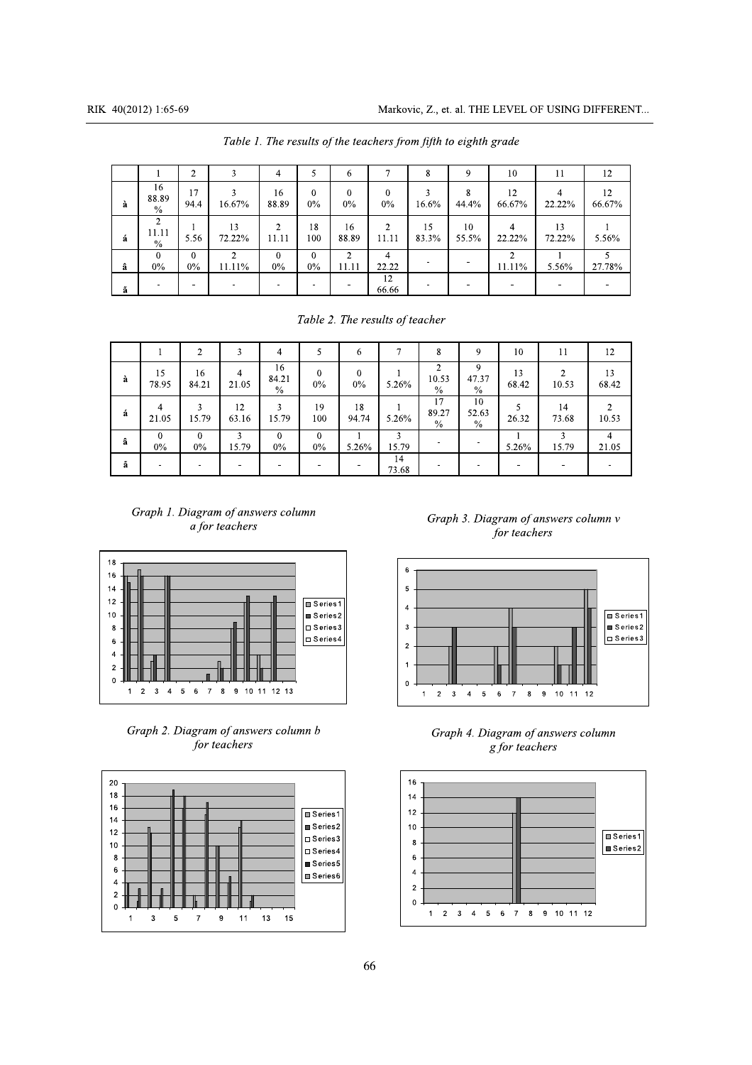| RIK 40(2012) 1:65-69                                                                                                                                                          | Markovic, Z., et. al. THE LEVEL OF USING DIFFERENT             |                                                   |                          |
|-------------------------------------------------------------------------------------------------------------------------------------------------------------------------------|----------------------------------------------------------------|---------------------------------------------------|--------------------------|
| Table 1. The results of the teachers from fifth to eighth grade                                                                                                               |                                                                |                                                   |                          |
| $\mathfrak{Z}$<br>$\overline{2}$<br>$\overline{4}$<br>5<br>$\tau$<br>6                                                                                                        | $8\,$<br>9                                                     | 10<br>11                                          | 12                       |
| 16<br>3<br>17<br>16<br>$\mathbf{0}$<br>$\theta$<br>$\mathbf{0}$<br>88.89<br>94.4<br>16.67%<br>88.89<br>$0\%$<br>$0\%$<br>$0\%$<br>à<br>$\%$                                   | 3<br>8<br>16.6%<br>44.4%                                       | 12<br>$\overline{4}$<br>66.67%<br>22.22%          | 12<br>66.67%             |
| $\overline{2}$<br>$\sqrt{2}$<br>$\overline{2}$<br>13<br>18<br>16<br>-1<br>11.11<br>5.56<br>11.11<br>á<br>72.22%<br>11.11<br>100<br>88.89<br>$\frac{0}{0}$                     | 15<br>10<br>83.3%<br>55.5%                                     | $\overline{4}$<br>13<br>22.22%<br>72.22%          | 5.56%                    |
| $\overline{2}$<br>$\overline{2}$<br>$\overline{0}$<br>$\theta$<br>$\theta$<br>$\overline{4}$<br>$\theta$<br>$0\%$<br>$0\%$<br>22.22<br>$0\%$<br>11.11%<br>$0\%$<br>11.11<br>â | $\overline{\phantom{a}}$<br>$\blacksquare$                     | $\overline{2}$<br>$\mathbf{1}$<br>11.11%<br>5.56% | $\overline{5}$<br>27.78% |
| 12<br>$\sim$<br>$\overline{\phantom{a}}$<br>$\sim$<br>٠<br>ã<br>66.66                                                                                                         | $\sim$<br>$\sim$                                               | $\overline{\phantom{a}}$<br>$\sim$                | $\blacksquare$           |
| Table 2. The results of teacher                                                                                                                                               |                                                                |                                                   |                          |
| $\overline{2}$<br>$\mathbf{3}$<br>5<br>$7\phantom{.0}$<br>$\mathbf{1}$<br>$\overline{4}$<br>6                                                                                 | 9<br>8                                                         | 10<br>11                                          | 12                       |
| 16<br>$\mathbf{0}$<br>15<br>16<br>$\overline{4}$<br>$\mathbf{0}$<br>84.21<br>à<br>78.95<br>84.21<br>21.05<br>$0\%$<br>$0\%$<br>5.26%<br>$\%$                                  | $\overline{2}$<br>9<br>47.37<br>10.53<br>$\%$<br>$\frac{0}{0}$ | 13<br>$\overline{2}$<br>68.42<br>10.53            | 13<br>68.42              |
| 12<br>$\overline{3}$<br>18<br>$\overline{3}$<br>19<br>4<br>á<br>5.26%<br>15.79<br>21.05<br>15.79<br>63.16<br>100<br>94.74                                                     | 17<br>10<br>89.27<br>52.63<br>$\%$<br>$\%$                     | 5<br>14<br>26.32<br>73.68                         | $\overline{2}$<br>10.53  |
| $\overline{3}$<br>$\mathbf{0}$<br>$\mathbf{0}$<br>$\mathbf{3}$<br>$\theta$<br>$\bf{0}$<br>$\mathbf{1}$<br>â<br>$0\%$<br>$0\%$<br>$0\%$<br>15.79<br>$0\%$<br>5.26%             | $\overline{\phantom{0}}$<br>15.79                              | 3 <sup>1</sup><br>5.26%<br>15.79                  | $\overline{4}$<br>21.05  |

|  |  | Table 2. The results of teacher |
|--|--|---------------------------------|
|  |  |                                 |

| a                               | $\%$                            | 94.4                     | $10.0$ /%                                            | 88.89                        | $U\%$                            | $U\%$              | $0\%$                    | $10.0\%$                            | 44.4%                        | $00.07\%$                | 22.22%                               | 00.07%                   |
|---------------------------------|---------------------------------|--------------------------|------------------------------------------------------|------------------------------|----------------------------------|--------------------|--------------------------|-------------------------------------|------------------------------|--------------------------|--------------------------------------|--------------------------|
| á                               | $\overline{2}$<br>11.11<br>$\%$ | -1<br>5.56               | 13<br>72.22%                                         | $\overline{2}$<br>11.11      | 18<br>100                        | 16<br>88.89        | $\sqrt{2}$<br>11.11      | 15<br>83.3%                         | 10<br>55.5%                  | $\overline{4}$<br>22.22% | 13<br>72.22%                         | 5.56%                    |
| â                               | $\mathbf{0}$<br>$0\%$           | $\overline{0}$<br>$0\%$  | $\overline{2}$<br>11.11%                             | $\overline{0}$<br>$0\%$      | $\overline{0}$<br>$0\%$          | 2<br>11.11         | $\overline{4}$<br>22.22  | $\sim$                              | $\overline{\phantom{a}}$     | $\overline{2}$<br>11.11% | 5.56%                                | $\overline{5}$<br>27.78% |
| ã                               | $\sim$                          | ٠                        | ÷,                                                   | $\sim$                       | $\sim$                           | $\sim$             | $\overline{12}$<br>66.66 | $\blacksquare$                      | $\sim$                       | $\overline{\phantom{a}}$ | $\sim$                               | $\blacksquare$           |
|                                 |                                 |                          |                                                      |                              |                                  |                    |                          | Table 2. The results of teacher     |                              |                          |                                      |                          |
|                                 | 1                               | $\overline{2}$           | $\mathbf{3}$                                         | $\overline{4}$               | 5                                | 6                  | $7\overline{ }$          | 8                                   | 9                            | 10                       | 11                                   | 12                       |
| à                               | 15<br>78.95                     | 16<br>84.21              | 4<br>21.05                                           | 16<br>84.21<br>$\frac{0}{0}$ | $\mathbf{0}$<br>$0\%$            | $\mathbf{0}$<br>0% | 5.26%                    | $\overline{2}$<br>10.53<br>$\%$     | 9<br>47.37<br>$\frac{0}{0}$  | 13<br>68.42              | 2<br>10.53                           | 13<br>68.42              |
| á                               | $\overline{4}$<br>21.05         | $\overline{3}$<br>15.79  | 12<br>63.16                                          | $\overline{3}$<br>15.79      | 19<br>100                        | 18<br>94.74        | 5.26%                    | $\overline{17}$<br>89.27<br>$\%$    | 10<br>52.63<br>$\frac{0}{0}$ | 5<br>26.32               | 14<br>73.68                          | $\overline{2}$<br>10.53  |
| â                               | $\overline{0}$<br>$0\%$         | $\mathbf{0}$<br>$0\%$    | 3<br>15.79                                           | $\mathbf{0}$<br>0%           | $\overline{0}$<br>$0\%$          | 5.26%              | 3<br>15.79               |                                     |                              | 5.26%                    | 3<br>15.79                           | $\overline{4}$<br>21.05  |
| ã                               | $\overline{\phantom{a}}$        | $\overline{\phantom{a}}$ |                                                      |                              |                                  |                    | 14<br>73.68              |                                     |                              |                          |                                      | $\overline{\phantom{a}}$ |
|                                 |                                 |                          | Graph 1. Diagram of answers column<br>a for teachers |                              |                                  |                    |                          |                                     |                              | for teachers             | Graph 3. Diagram of answers column v |                          |
| 18<br>16<br>14<br>12<br>10<br>8 |                                 |                          |                                                      |                              | Series1<br>Series2<br>□ Series 3 |                    | $\overline{a}$           | $\,6\,$<br>$\sqrt{5}$<br>$\sqrt{3}$ |                              |                          |                                      | Series1<br>$S$ eries2    |









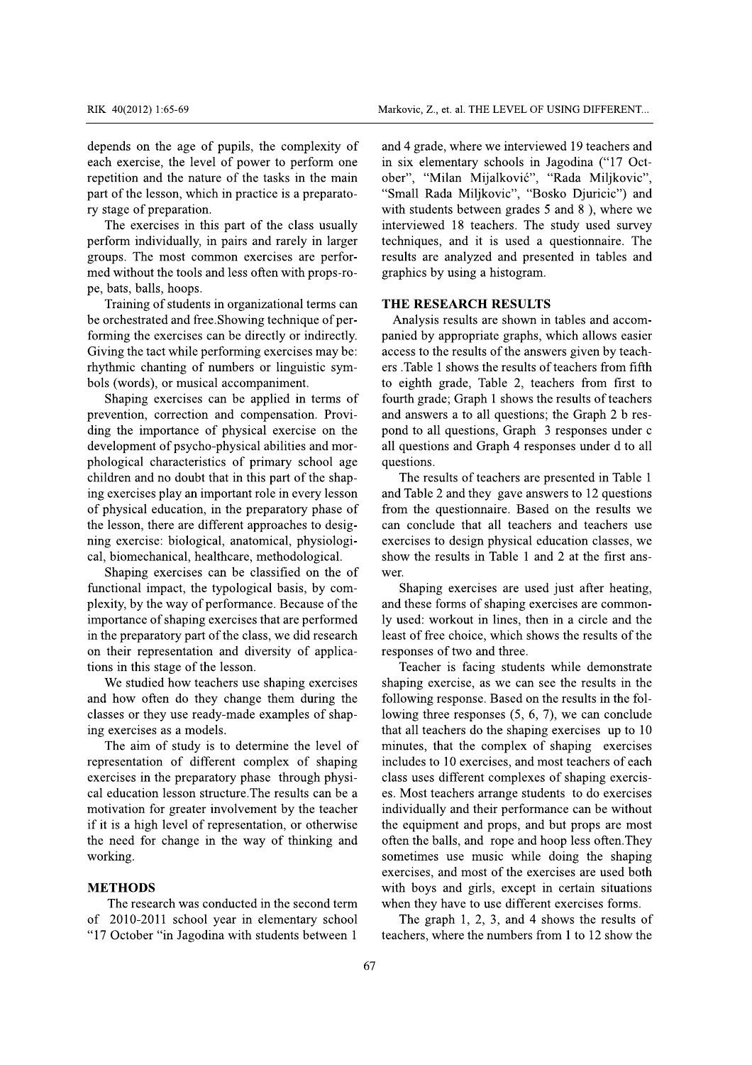depends on the age of pupils, the complexity of each exercise, the level of power to perform one repetition and the nature of the tasks in the main part of the lesson, which in practice is a preparatory stage of preparation.

The exercises in this part of the class usually perform individually, in pairs and rarely in larger groups. The most common exercises are performed without the tools and less often with props-rope, bats, balls, hoops.

Training of students in organizational terms can be orchestrated and free. Showing technique of performing the exercises can be directly or indirectly. Giving the tact while performing exercises may be: rhythmic chanting of numbers or linguistic symbols (words), or musical accompaniment.

Shaping exercises can be applied in terms of prevention, correction and compensation. Providing the importance of physical exercise on the development of psycho-physical abilities and morphological characteristics of primary school age children and no doubt that in this part of the shaping exercises play an important role in every lesson of physical education, in the preparatory phase of the lesson, there are different approaches to designing exercise: biological, anatomical, physiological, biomechanical, healthcare, methodological.

Shaping exercises can be classified on the of functional impact, the typological basis, by complexity, by the way of performance. Because of the importance of shaping exercises that are performed in the preparatory part of the class, we did research on their representation and diversity of applications in this stage of the lesson.

We studied how teachers use shaping exercises and how often do they change them during the classes or they use ready-made examples of shaping exercises as a models.

The aim of study is to determine the level of representation of different complex of shaping exercises in the preparatory phase through physical education lesson structure. The results can be a motivation for greater involvement by the teacher if it is a high level of representation, or otherwise the need for change in the way of thinking and working.

### **METHODS**

The research was conducted in the second term of 2010-2011 school year in elementary school "17 October "in Jagodina with students between 1

and 4 grade, where we interviewed 19 teachers and in six elementary schools in Jagodina ("17 October", "Milan Mijalković", "Rada Miljkovic", "Small Rada Miljkovic", "Bosko Djuricic") and with students between grades 5 and 8), where we interviewed 18 teachers. The study used survey techniques, and it is used a questionnaire. The results are analyzed and presented in tables and graphics by using a histogram.

### THE RESEARCH RESULTS

Analysis results are shown in tables and accompanied by appropriate graphs, which allows easier access to the results of the answers given by teachers .Table 1 shows the results of teachers from fifth to eighth grade, Table 2, teachers from first to fourth grade; Graph 1 shows the results of teachers and answers a to all questions; the Graph 2 b respond to all questions, Graph 3 responses under c all questions and Graph 4 responses under d to all questions.

The results of teachers are presented in Table 1 and Table 2 and they gave answers to 12 questions from the questionnaire. Based on the results we can conclude that all teachers and teachers use exercises to design physical education classes, we show the results in Table 1 and 2 at the first answer.

Shaping exercises are used just after heating, and these forms of shaping exercises are commonly used: workout in lines, then in a circle and the least of free choice, which shows the results of the responses of two and three.

Teacher is facing students while demonstrate shaping exercise, as we can see the results in the following response. Based on the results in the following three responses  $(5, 6, 7)$ , we can conclude that all teachers do the shaping exercises up to 10 minutes, that the complex of shaping exercises includes to 10 exercises, and most teachers of each class uses different complexes of shaping exercises. Most teachers arrange students to do exercises individually and their performance can be without the equipment and props, and but props are most often the balls, and rope and hoop less often. They sometimes use music while doing the shaping exercises, and most of the exercises are used both with boys and girls, except in certain situations when they have to use different exercises forms.

The graph  $1, 2, 3$ , and  $4$  shows the results of teachers, where the numbers from 1 to 12 show the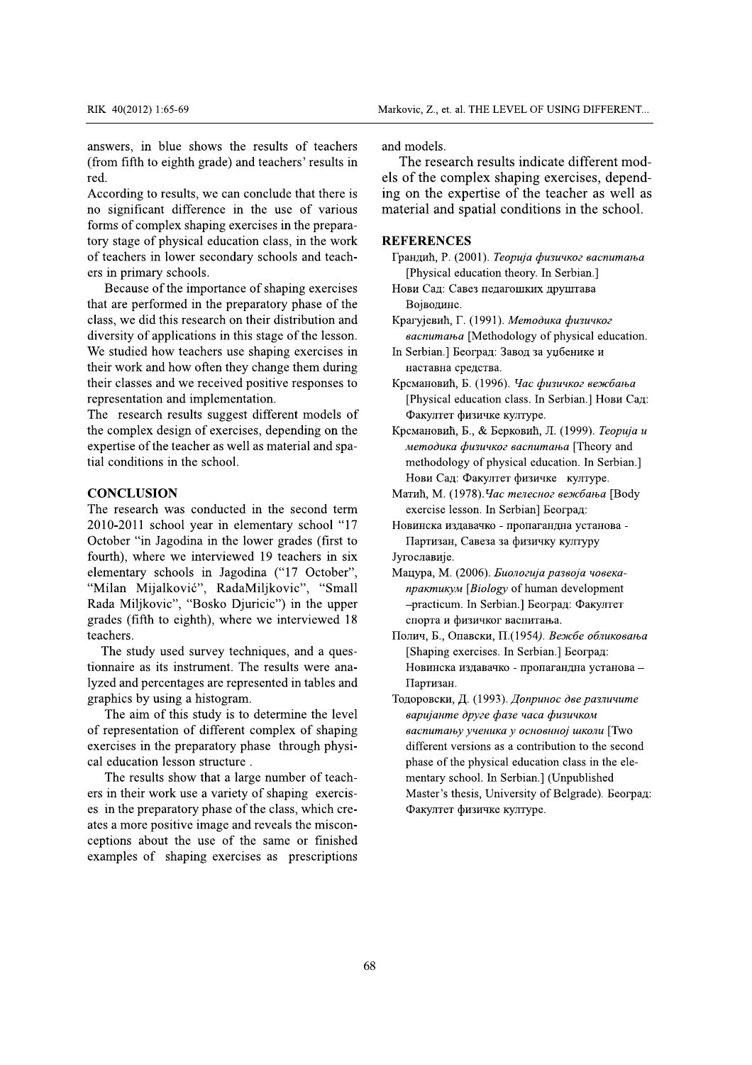answers, in blue shows the results of teachers RIK 40(2012) 1:65-69<br>
Markovic, Z., et. al. THE LEVEL OF USIN<br>
answers, in blue shows the results of teachers<br>
(from fifth to eighth grade) and teachers' results in<br>
The research results indicate<br>
red.<br>
According to result

RIK 40(2012) 1:65-69<br>
answers, in blue shows t<br>
(from fifth to eighth grade)<br>
red.<br>
According to results, we ca<br>
no significant difference<br>
forms of complex shaping e<br>
tory stage of physical educe<br>
of teachers in lower sec RIK 40(2012) 1:65-69<br>
manswers, in blue shows the r<br>
(from fifth to eighth grade) and<br>
red.<br>
According to results, we can con<br>
no significant difference in th<br>
forms of complex shaping exerc<br>
tory stage of physical educati RIK 40(2012) 1:65-69<br> **EXECUTE:** 1:65-69<br> **EXECUTE:** 1:65-69<br> **EXECUTE:** 1:65-69<br> **EXECUTE:** 1:65-69<br> **EXECUTE:** 1:65-69<br> **EXECUTE:** 1:65-69<br> **EXECUTE:** 1:65<br> **EXECUTE:** 1:05<br> **EXECUTE:** 1:05<br> **EXECUTE:** 1:05<br> **EXECUTE:** 1 RIK 40(2012) 1:65-69<br>
answers, in blue shows the results of te<br>
(from fifth to eighth grade) and teachers' res<br>
red.<br>
According to results, we can conclude that t<br>
no significant difference in the use of y<br>
forms of comple RIK 40(2012) 1:65-69<br> **EXECUTE:** 1:65-69<br> **EXECUTE:** 1:65-69<br> **EXECUTE:** 1:65-69<br> **EXECUTE:** 1:65-69<br> **EXECUTE:** 1:65-69<br> **EXECUTE:** 1:65-69<br> **EXECUTE:** 1:65-69<br> **EXECUTE:** 1:65-69<br> **EXECUTE:** 1:65<br> **EXECUTE:** 1:65<br> **EXECU** Mar<br>
Mar<br>
Mar<br>
maswers, in blue shows the results of teachers<br>
(from fifth to eighth grade) and teachers' results in<br>
els<br>
els<br>
According to results, we can conclude that there is<br>
ing<br>
mo significant difference in the use Marko<br>
in blue shows the results of teachers<br>
in to eighth grade) and teachers' results in<br>
The to eighth grade) and teachers' results in<br>
The signal of teachers' in the use of various<br>
ficant difference in the use of vari 2) 1:65-69<br>
Markovi<br>
n blue shows the results of teachers and moto eighth grade) and teachers' results in The<br>
els of<br>
to results, we can conclude that there is ing or<br>
cant difference in the use of various mater<br>
meter in Markovic, Z., et. al. THI<br>
blue shows the results of teachers<br>
o eighth grade) and teachers' results in<br>
Despite that there is<br>
o results, we can conclude that there is<br>
o results, we can conclude that there is<br>
ing on th Markovic, 2<br>
Markovic, 2<br>
answers, in blue shows the results of teachers<br>
(from fifth to eighth grade) and teachers' results in<br>
The red.<br>
According to results, we can conclude that there is<br>
of the According to results, w Markovic, Z., et.<br>
ue shows the results of teachers and models.<br>
ighth grade) and teachers' results in The resea<br>
els of the co<br>
esults, we can conclude that there is ing on the e<br>
difference in the use of various material Markovic, Z., et. al.<br>
shows the results of teachers and models.<br>
1 grade) and teachers' results in The researce<br>
els of the com<br>
s, we can conclude that there is ing on the experience in the use of various material and s<br> Markovic, Z., et. al. 1<br>
ows the results of teachers<br>
grade) and teachers' results in<br>
els of the comp<br>
we can conclude that there is<br>
els of the comp<br>
we can conclude that there is<br>
ing on the expe<br>
ence in the use of var Markovic, Z., et. al. THI<br>
ws the results of teachers<br>
ade) and teachers' results in<br>
els of the comple<br>
e can conclude that there is<br>
ing on the expert<br>
nee in the use of various<br>
material and spati<br>
ducation class, in th RIK 40(2012) 1:65-69<br>
answers, in blue shows th<br>
(from fifth to eighth grade) and<br>
red.<br>
According to results, we can<br>
no significant difference is<br>
forms of complex shaping ex<br>
tory stage of physical educa<br>
of teachers in RIK 40(2012) 1:65-69<br>
answers, in blue shows the results of<br>
(from fifth to eighth grade) and teachers<br>
red.<br>
According to results, we can conclude th<br>
no significant difference in the use c<br>
forms of complex shaping exerc RIK 40(2012) 1:65-69<br> **EXECUATE:** 1:65-69<br> **EXECUATE:** 1:65-69<br> **EXECUATE:** 1:65-69<br> **EXECUATE:** 1:65-69<br> **EXECUATE:** 1:65-69<br> **EXECUATE:** 1:65-69<br> **EXECUATE:** 1:65-7:<br> **EXECUATE:** 1:65-69<br> **EXECUATE:** 1:65-7:<br> **EXECUATE:** RIK 40(2012) 1:65-69<br> **EXECUATE:** 1:65-69<br> **EXECUATE:** 1:65-69<br> **EXECUATE:** 1:65-69<br> **EXECUATE:** 1:65-69<br> **EXECUATE:** 1:65-69<br> **EXECUATE:** 1:65-69<br> **EXECUATE:** 1:65-69<br> **EXECUATE:** 1:65-69<br> **EXECUATE:** 1:65-69<br> **EXECUATE:** Mark 40(2012) 1:65-69<br>
Mark 40(2012) 1:65-69<br>
answers, in blue shows the results of teachers and<br>
(from fifth to eighth grade) and teachers' results in<br>
red.<br>
According to results, we can conclude that there is<br>
ing<br>
no si Markovic, Z., et. al. THI<br>
in blue shows the results of teachers<br>
in to eighth grade) and teachers' results in<br>
else of the complex<br>
g to results, we can conclude that there is<br>
ing on the expert<br>
icant difference in the u According to results, we can conclude that there is RIK 40(2012) 1:65-69<br> **EXECUATE:** 1:65-69<br> **EXECUATE:** 1:65-69<br> **EXECUATE:** 1:65-69<br> **EXECUATE:** 1:65-69<br> **EXECUATE:** 1:65-69<br> **EXECUATE:** 1:65-69<br> **EXECUATE:** 1:65-61<br> **EXECUATE:** 1:67<br> **EXECUATE:** 1:67<br> **EXECUATE:** 1:67<br> RIK 40(2012) 1:65-69 Markovi<br>
answers, in blue shows the results of teachers and m<br>
(from fifth to eighth grade) and teachers' results in Th<br>
red. els of<br>
According to results, we can conclude that there is ing or<br>
no sign Markovic, Z., et. al. THI<br>
blue shows the results of teachers<br>
o eighth grade) and teachers' results in The research re<br>
o results, we can conclude that there is ing on the expert<br>
or results, we can conclude that there i no significant difference in the use of various RIK 40(2012) 1:65-69<br>
answers, in blue shows the<br>
(from fifth to eighth grade) an<br>
red.<br>
According to results, we can c<br>
no significant difference in<br>
forms of complex shaping exe<br>
tory stage of physical educati<br>
of teache RIK 40(2012) 1:65-69<br>
answers, in blue shows the results (<br>
(from fifth to eighth grade) and teacher-<br>
red.<br>
According to results, we can conclude to<br>
no significant difference in the use<br>
forms of complex shaping exercise RIK  $40(2012) 1:65-69$ <br>
answers, in blue shows the results of t<br>
(from fifth to eighth grade) and teachers' re<br>
red.<br>
According to results, we can conclude that<br>
no significant difference in the use of<br>
forms of complex s Manusum Manusum Manusum Manusum Manusum Manusum Charlotters and the substituted and teachers' results in red.<br>According to results, we can conclude that there is in red.<br>According to results, we can conclude that there is Marke<br>
in blue shows the results of teachers<br>
and the to eighth grade) and teachers' results in<br>
els of<br>
teachers in the use of various<br>
ficant difference in the use of various<br>
matter is<br>
in figure of physical education c 2) 1:65-69<br> **Markovic, Z., et. al. THI**<br> **n** blue shows the results of teachers<br>
to eighth grade) and teachers' results in<br>
to results, we can conclude that there is<br>
ing on the expertition<br>
to results, we can conclude th Markovic, Z., et. al. THE LEVEL C<br>
ne results of teachers<br>
and models.<br>
and teachers' results in<br>
<sup>1</sup> Conclude that there is<br>
<sup>1</sup> Conclude that there is<br>
<sup>1</sup> Conclude that there is<br>
<sup>1</sup> Conclude that there is<br>
<sup>1</sup> Conclude Markovic, Z., et. al. THE LEVEL O<br>
results of teachers<br>
and models.<br>
detechers' results in<br>
The research results ind<br>
els of the complex shaping<br>
conclude that there is<br>
ing on the expertise of the<br>
the use of various<br>
mat

and become<br>answers, in blue shows the<br>(from fifth to eighth grade) an<br>red.<br>According to results, we can a<br>no significant difference in<br>forms of complex shaping exe<br>tory stage of physical educati<br>of teachers in lower second answers, in blue shows the results of<br>(from fifth to eighth grade) and teachers' red.<br>According to results, we can conclude tha<br>no significant difference in the use of<br>forms of complex shaping exercises in the<br>tory stage o and *bology has vs*<br>answers, in blue shows the results of tead<br>(from fifth to eighth grade) and teachers' resulted.<br>According to results, we can conclude that the<br>no significant difference in the use of van<br>forms of comple maximum and the shows the results of teachers and<br>
(from fifth to eighth grade) and teachers' results in<br>
red.<br>
According to results, we can conclude that there is<br>
ing<br>
no significant difference in the use of various<br>
for Exprise 59<br>
in blue shows the results of teachers<br>
and n<br>
to eighth grade) and teachers' results in<br>
The solution<br>
of the solution of the solution of the solution<br>
complex shaping exercises in the prepara-<br>
of physical edu There of the shows the results of teachers and move ighth grade) and teachers' results in The solid of the control of the solid of the solid of the solid of the solid of the solid of the importance in the work in lower sec Example the shows the results of teachers<br>
blue shows the results of teachers<br>
beighth grade) and teachers' results in<br>
the research results, we can conclude that there is<br>
or the comple<br>
ing on the expert<br>
int difference answers, in blue shows the resu<br>(from fifth to eighth grade) and tea<br>red.<br>According to results, we can conclu<br>no significant difference in the<br>forms of complex shaping exercises<br>tory stage of physical education cla<br>of teac answers, in blue shows the results (from fifth to eighth grade) and teachers<br>red.<br>According to results, we can conclude t<br>no significant difference in the use<br>forms of complex shaping exercises in t<br>tory stage of physical answers, in blue shows the results of tead<br>(from fifth to eighth grade) and teachers' resulted.<br>According to results, we can conclude that the<br>no significant difference in the use of var<br>forms of complex shaping exercises answers, in blue shows the results of teachers<br>
(from fifth to eighth grade) and teachers' results in<br>
red.<br>
According to results, we can conclude that there is<br>
in<br>
mo significant difference in the use of various<br>
forms o Fig. in blue shows the results of teachers<br>
fit to eighth grade) and teachers' results in<br>
els of t<br>
els of t<br>
els of t<br>
els of t<br>
els of t<br>
els of t<br>
els of t<br>
els of t<br>
els of t<br>
els of t<br>
els of t<br>
els of t<br>
els of t<br>
e blue shows the results of teachers<br>
eighth grade) and teachers' results in<br>
els of th<br>
results, we can conclude that there is<br>
ing on<br>
t difference in the use of various<br>
materia<br>
plex shaping exercises in the prepara-<br>
ph Propose the results of teachers<br>
ighth grade) and teachers' results in<br>
the research results, we can conclude that there is<br>
the complex<br>
esults, we can conclude that there is<br>
ing on the expertitive of the complex<br>
ing on answers, in blue shows<br>(from fifth to eighth grade)<br>red.<br>According to results, we ca<br>no significant difference<br>forms of complex shaping (<br>tory stage of physical educ<br>of teachers in lower secon-<br>ers in primary schools.<br>Beca answers, in blue shows the results of the methods of the shows the results of the decohers red.<br>According to results, we can conclude the more significant difference in the use forms of complex shaping exercises in the tor answers, in blue shows the results of team<br>(from fifth to eighth grade) and teachers' results<br>red.<br>According to results, we can conclude that the<br>no significant difference in the use of va<br>forms of complex shaping exercise answers, in blue shows the results of teac<br>(from fifth to eighth grade) and teachers' resul<br>red.<br>According to results, we can conclude that the<br>no significant difference in the use of var<br>forms of complex shaping exercises answers, in blue shows the results of teach (from fifth to eighth grade) and teachers' results red.<br>According to results, we can conclude that there no significant difference in the use of various forms of complex shaping (from fifth to eighth grade) and teached.<br>
According to results, we can concl<br>
no significant difference in the<br>
forms of complex shaping exercise<br>
tory stage of physical education cl<br>
of teachers in lower secondary scl<br>
e (from titth to eighth grade) and teachers' results in<br>red.<br>Box and the star in the star ing<br>in o significant difference in the use of various<br>forms of complex shaping exercises in the prepara-<br>tory stage of physical educat From the total state of the complex shaping exercises in the two difference in the use of various of the complex shaping exercises in the prepara-<br>
Example the state of physical education class, in the work complex shaping In the research research research research research research research research research research research in the use of various material and spating exercises in the preparaducation class, in the work **REFERENCES** condary Because of the importance of shaping exercises els of the coording to results, we can conclude that there is ing on the<br>no significant difference in the use of various material ar<br>forms of complex shaping exercises in the prepara-<br>tory stage of physical education class ES of the comple:<br>
Its, we can conclude that there is<br>
ing on the expert<br>
fference in the use of various<br>
shaping exercises in the prepara-<br>
ical education class, in the work<br>
NEFERENCES<br>
ver secondary schools and teach-<br> According to results, we c<br>no significant difference<br>forms of complex shaping<br>tory stage of physical edu<br>of teachers in lower secor<br>ers in primary schools.<br>Because of the importa<br>that are performed in the<br>class, we did thi According to results, we can<br>no significant difference i<br>forms of complex shaping e<br>tory stage of physical educe<br>of teachers in lower second<br>ers in primary schools.<br>Because of the importane<br>that are performed in the pr<br>cla According to results, we can<br>no significant difference ir<br>forms of complex shaping ex<br>tory stage of physical educat<br>of teachers in lower seconda<br>ers in primary schools.<br>Because of the importanc<br>that are performed in the pr According to results, we can conclude th<br>no significant difference in the use o<br>forms of complex shaping exercises in the<br>tory stage of physical education class, in<br>of teachers in lower secondary schools a<br>ers in primary s According to results, we can conclude that the nominal characteristic in the use of v forms of complex shaping exercises in the protory stage of physical education class, in the of teachers in lower secondary schools and e According to results, we can conclude that there is<br>no significant difference in the use of various materi<br>forms of complex shaping exercises in the prepara-<br>tory stage of physical education class, in the work<br>**REFE**<br>of t Implementation and implementation.<br>
In an intervention of the theorem of the theorem of the two-<br>
physical education class, in the work<br>
The work **REFERENCES**<br>
Implying exercises in the work **REFERENCES**<br>
Implying in the p no significant difference in<br>forms of complex shaping exe<br>tory stage of physical educatio<br>of teachers in lower secondar<br>ers in primary schools.<br>Because of the importance<br>that are performed in the prep<br>class, we did this re no significant difference in the use c<br>forms of complex shaping exercises in th<br>tory stage of physical education class, in<br>of teachers in lower secondary schools a<br>ers in primary schools.<br>Because of the importance of shapi no significant difference in the use of variations of complex shaping exercises in the preparatory stage of physical education class, in the word teachers in lower secondary schools and teachers in primary schools. Because no significant difference in the use of various<br>forms of complex shaping exercises in the prepara-<br>tory stage of physical education class, in the work<br>of teachers in lower secondary schools and teach-<br>ers in primary school miticant difference in the use of various in<br>of complex shaping exercises in the prepara-<br>tage of physical education class, in the work<br>chers in lower secondary schools and teach-<br>primary schools.<br>cause of the importance o incent difference in the use of various material and<br>
f complex shaping exercises in the prepara-<br>
ge of physical education class, in the work **REFERENC**<br>
ners in lower secondary schools and teach-<br>
<sup>1</sup> [Physical<br>
rimary erence in the use of various material and s<br>haping exercises in the prepara-<br>cal education class, in the work<br>r secondary schools and teach-<br>ols. [Physical education of shaping exercises Hobu Can: Can<br>in the preparatory ph ence in the use of various material and sp<br>ping exercises in the prepara-<br>education class, in the work<br>**REFERENCES**<br>secondary schools and teach-<br> $\Gamma$   $\Gamma$   $\Gamma$  (20<br>notance of shaping exercises<br>the preparatory phase of the nce in the use of various<br>
material and spatial<br>
education class, in the work<br>
REFERENCES<br>
econdary schools and teach-<br>
[Physical education of shaping exercises<br>
Hobu Can: Canes n<br>
The preparatory phase of the<br>
In Singhapu forms of complex shaping ex-<br>tory stage of physical educat<br>of teachers in lower seconda<br>ers in primary schools.<br>Because of the importance<br>that are performed in the pre-<br>class, we did this research on<br>diversity of applicati forms of complex shaping exercises in the preparatory stage of physical education class, in the word of teachers in lower secondary schools and teachers in primary schools.<br>Because of the importance of shaping exercises th forms of complex shaping exercises in the prepara-<br>tory stage of physical education class, in the work<br>of teachers in lower secondary schools and teach-<br>ers in primary schools.<br>Because of the importance of shaping exercise It is one properties the preparations of complex shaping exercises in the prepara-<br>
y stage of physical education class, in the work<br>
eachers in lower secondary schools and teach-<br>
in primary schools.<br>
Because of the impor of complex shaping exercises in the prepara-<br>age of physical education class, in the work<br>chers in lower secondary schools and teach-<br>primary schools. [Physical e<br>cause of the importance of shaping exercises Hobu Can: C<sub>i</sub> apping exercises in the prepara-<br>
leducation class, in the work<br>
REFERENCES<br>
secondary schools and teach-<br>
Is. [Physical edu<br>
portance of shaping exercises Hobu Cang: Case<br>
1 the preparatory phase of the Bojbonume.<br>
Earch mg exercises in the prepara-<br>
education class, in the work<br>
condary schools and teach-<br>
[Physical educat<br>
preparatory phase of the<br>
Bojbonume.<br>
rch on their distribution and<br>
sin this stage of the lesson.<br>
exercises in Se tory stage of physical education class, in the work<br>
of teachers in lower secondary schools and teach-<br>
ers in primary schools.<br>
Because of the importance of shaping exercises<br>
that are performed in the preparatory phase of teachers in lower secondary<br>ers in primary schools.<br>Because of the importance c<br>that are performed in the prepa<br>class, we did this research on th<br>diversity of applications in this<br>We studied how teachers use s<br>their wor of teachers in lower secondary sers in primary schools.<br>Because of the importance of<br>that are performed in the prepara<br>class, we did this research on thei<br>diversity of applications in this st<br>We studied how teachers use sh of teachers in lower secondary sc<br>ers in primary schools.<br>Because of the importance of s<br>that are performed in the preparat<br>class, we did this research on their<br>diversity of applications in this sta<br>We studied how teachers of teachers in lower secondary schools.<br>
Because of the importance of sha<br>
that are performed in the preparator<br>
class, we did this research on their d<br>
diversity of applications in this stage<br>
We studied how teachers use of teachers in lower secondary schools and teach-<br>ers in primary schools.<br>Because of the importance of shaping exercises<br>that are performed in the preparatory phase of the<br>class, we did this research on their distribution Ers in lower secondary schools and teach-<br>
imary schools. [Physinuse of the importance of shaping exercises Hobu Ca<br>
performed in the preparatory phase of the BojBo,<br>
e did this research on their distribution and Kparyje<br> Wer secondary schools and teach-<br>
Exposite importance of shaping exercises<br>
Flopsical emportance of shaping exercises<br>
Flopsical emportance of shaping exercises<br>
Flopsical emportance of shaping exercises<br>
Flopsical emporta Secondary schools and teach-<br>
I panguh, P. (200<br>
Is. [Physical edu<br>
portance of shaping exercises Hobu Cag: Case<br>
arch on their distribution and Kparyjebuh, F. (ons in this stage of the Isson. *васпитања* [<br>
hers use shapi condary schools and teach-<br>
[Physical educat<br>
[Physical educat<br>
preparatory phase of the<br>
rch on their distribution and<br>
rs in this stage of the Isson.<br>
exercises in In Serbian.] Beorparatory exercises in In Serbian.] Beo ers in primary schools.<br>Because of the importance<br>that are performed in the prep<br>class, we did this research on t<br>diversity of applications in thi<br>We studied how teachers use<br>their work and how often they<br>their classes and ers in primary schools.<br>Because of the importance of shaping exercis<br>that are performed in the preparatory phase of t<br>class, we did this research on their distribution a<br>diversity of applications in this stage of the lesse ers in primary schools.<br>
Because of the importance of shaping exercises<br>
that are performed in the preparatory phase of the<br>
class, we did this research on their distribution and<br>
diversity of applications in this stage of Because of the importance of<br>that are performed in the prepara-<br>class, we did this research on the<br>diversity of applications in this s<br>We studied how teachers use shi-<br>their work and how often they ch-<br>their classes and we Because of the importance of shaping of<br>that are performed in the preparatory pha<br>class, we did this research on their distribu-<br>diversity of applications in this stage of the<br>We studied how teachers use shaping exe-<br>their Because of the importance of shaping ex<br>that are performed in the preparatory phase<br>class, we did this research on their distributi<br>diversity of applications in this stage of the l<br>We studied how teachers use shaping exerc Because of the importance of shaping exercy that are performed in the preparatory phase c class, we did this research on their distribution diversity of applications in this stage of the leve studied how teachers use shapi Because of the importance of shaping exerci-<br>that are performed in the preparatory phase of<br>class, we did this research on their distribution is<br>diversity of applications in this stage of the less<br>We studied how teachers u Because of the importance of shaping exercises<br>that are performed in the preparatory phase of the<br>class, we did this research on their distribution and<br>diversity of applications in this stage of the lesson.<br>We studied how Because of the importance of shaping exercises<br>
are performed in the preparatory phase of the BojBoJuHe.<br>
S, we did this research on their distribution and<br>
studied how teachers use shaping exercises in In Serbian.] Be<br>
i oortance of shaping exercises<br>
the preparatory phase of the<br>
arch on their distribution and<br>
mes in this stage of the Isson.<br>
exercises in In Serbian.] Bec<br>
frem they change them during<br>
eceived positive responses to<br>
Exe ortance of shaping exercises<br>
The preparatory phase of the<br>
The preparatory phase of the<br>
In SojBoQuine.<br>
Event on their distribution and<br>
KparyjeBuh, Г. (19<br>
Sin this stage of the lesson.<br> *Gachumaha* [Me<br>
Mers use shapi that are performed in the preparat<br>class, we did this research on their<br>diversity of applications in this sta<br>We studied how teachers use shap<br>their work and how often they cha<br>their classes and we received posit<br>represent that are performed in the preparatory ph<br>class, we did this research on their distril<br>diversity of applications in this stage of<br>We studied how teachers use shaping e:<br>their work and how often they change th<br>their classes that are performed in the preparatory phase of the<br>class, we did this research on their distribution and<br>diversity of applications in this stage of the lesson.<br>We studied how teachers use shaping exercises in<br>their work an are performed in the preparatory phase of the<br>
, we did this research on their distribution and<br>
sity of applications in this stage of the lesson.<br>
tudied how teachers use shaping exercises in<br>
work and how often they chan e performed in the preparatory phase of the BojBonuHe.<br>
We did this research on their distribution and KparyjeBuh, Г. (19<br>
We died how teachers use shaping exercises in In Serbian.] Београ<br>
ork and how often they change t class, we did this research on the diversity of applications in this is<br>We studied how teachers use she their work and how often they c<br>their classes and we received po<br>representation and implementat<br>The research results s class, we did this research on their distribution and<br>diversity of applications in this stage of the lessor<br>We studied how teachers use shaping exercises is<br>their work and how often they change them durin;<br>their classes a class, we did this research on their distribution and<br>liversity of applications in this stage of the lesson.<br>We studied how teachers use shaping exercises in<br>heir work and how often they change them during<br>heir classes and we did this research on their distribution and<br>sity of applications in this stage of the lesson.<br>tudied how teachers use shaping exercises in<br>work and how often they change them during<br>classes and we received positive resp we did this research on their distribution and<br>sity of applications in this stage of the lesson.<br>udied how teachers use shaping exercises in<br>work and how often they change them during<br>classes and we received positive respo e did this research on their distribution and<br>
represent of applications in this stage of the lesson. accrum<br>
ied how teachers use shaping exercises in In Serbian<br>
in Serbian<br>
sses and we received positive responses to Kp Examplemental Expansion of their distribution and<br>
teachers use shaping exercises in this stage of the lesson. *Gachumahal*<br>
teachers use shaping exercises in In Serbian.] Becow often they change them during the macrashia The metric of their distribution and Kparyjesuh, Г. (19<br>
and this stage of the lesson. *Gachumatha* [Me<br>
ers use shaping exercises in In Serbian.] Београ<br>
ten they change them during Hacrasha cpe, Crived positive response EXECUTE: The expertise of the teacher<br>
ing on the expertise of the teacher<br>
in the prepara-<br>
s, in the work<br> **REFERENCES**<br>
DIS and teach-<br> **REFERENCES**<br>
[Physical education theory. In Serbi<br>
ing exercises<br>
Hoban Can: Саве use of various material and spatial conditions in the school.<br>
s in the prepara-<br>
lass, in the work **REFERENCES**<br>
hools and teach [Panguh, P. (2001). *Teopuja физичког васпитања*<br>
[Physical education theory. In Serbian.]<br>

diversity of applications in<br>We studied how teachers u<br>their work and how often th<br>their classes and we receive<br>representation and impleme<br>The research results sugge<br>the complex design of exer-<br>expertise of the teacher as diversity of applications in this stage c<br>We studied how teachers use shaping<br>their work and how often they change<br>their classes and we received positive<br>representation and implementation.<br>The research results suggest diff diversity of applications in this stage of the les<br>We studied how teachers use shaping exercise<br>their work and how often they change them du<br>their classes and we received positive response<br>representation and implementation diversity of applications in this stage of the lesson.<br>We studied how teachers use shaping exercises in<br>their work and how often they change them during<br>their classes and we received positive responses to<br>representation an ersity of applications in this stage of the lesson.<br>
Extudied how teachers use shaping exercises in<br>
ir work and how often they change them during<br>
ir classes and we received positive responses to<br>
research results suggest their work and how often they change th<br>their classes and we received positive re<br>representation and implementation.<br>The research results suggest different<br>the complex design of exercises, depend<br>expertise of the teacher a their classes and we received po<br>representation and implementat<br>The research results suggest d<br>the complex design of exercises<br>expertise of the teacher as well a<br>tial conditions in the school.<br>**CONCLUSION**<br>The research was their classes and we received positive resp<br>representation and implementation.<br>The research results suggest different m<br>the complex design of exercises, dependin<br>expertise of the teacher as well as material<br>tial conditions their classes and we received positive responses to<br>
representation and implementation. [Ph<br>
The research results suggest different models of the<br>
expertise of the teacher as well as material and spa-<br>
tial conditions in t nd we received positive responses to<br>
results suggest different models of<br>
results suggest different models of<br>  $\theta$  Факултет физи<br>
esign of exercises, depending on the<br>  $\theta$  Кремановић, Б., с<br>
in the school.<br>
DN<br>
Maruh, representation and implementation.<br>The research results suggest differe<br>the complex design of exercises, dep<br>expertise of the teacher as well as ma<br>tial conditions in the school.<br>**CONCLUSION**<br>The research was conducted in representation and implementation.<br>The research results suggest different m<br>the complex design of exercises, dependin<br>expertise of the teacher as well as material<br>tial conditions in the school.<br>**CONCLUSION**<br>The research wa representation and implementation.<br>The research results suggest different models of<br>the complex design of exercises, depending on the<br>expertise of the teacher as well as material and spa-<br>tial conditions in the school.<br>**CO** Exercise of the teacher as well as material on the upper<br>
Exercises, depending on the Expensive of the teacher as well as material and sparentise of the teacher as well as material and sparentise of the teacher as well as Implementation. [Physical exponding the distribution of exercises, depending on the tacher as well as material and spanner and the school.<br>
Network in the school.<br>
Network and the second term the school of the second term<br> plementation. [Physical educated in suggest different models of the parameter of exercises, depending on the the Meximizer duration of the second term section.<br>
Ser as well as material and spanner and spanner of the secon The research results suggest different models of<br>the complex design of exercises, depending on the<br>expertise of the teacher as well as material and spa-<br>tial conditions in the school.<br>**CONCLUSION**<br>The research was conducte research results suggest different models of the control of the teacher as well as material and spare or trise of the teacher as well as material and spare or the method or the second term (CLUSION Marruh, N<br>
research was Sults suggest different models of<br>
gap of exercises, depending on the<br>
accher as well as material and spa-<br>
the school.<br>
Subseted in the second term<br>
Marrah, M. (19<br>
Marrah, M. (19<br>
Marrah, M. (19<br>
Marrah, M. (19<br>
Marrah, Suggest different models of the payment control of the control of the second term can be all as material and space of the methodology of Hobu Can be a methodology of Hobu Can be a methodology of Hobu Can be a methodology o The complex design of exercises, depending on the<br>
expertise of the teacher as well as material and spa-<br>
tial conditions in the school.<br>
Hobu Cancel Most Cancel Most<br>
Hour Cancel Most Cancel Most<br>
2010-2011 school year in Conducted in the second term<br>
and space school.<br>
The assembly the second term<br>
and the second term<br>  $\frac{1}{2}$ <br>
conducted in the second term<br>  $\frac{1}{2}$ <br>
conducted in the second term<br>  $\frac{1}{2}$ <br>
conducted in the second term Exercises, depending on the<br>
Ass well as material and spa-<br>
Marnah, M. (1978).<br>
And M. (1978).<br>
Inducted in the second term<br>
in elementary school "17<br>
Hoburca *Harma, M.* (1978).<br>
In the lower grades (first to<br>
Tapyra3aH, expertise of the teacher as<br>tial conditions in the scho-<br>CONCLUSION<br>The research was conduc<br>2010-2011 school year in<br>October "in Jagodina in t<br>fourth), where we intervi<br>elementary schools in Ja-<br>"Milan Mijalković", R.<br>Rada expertise of the teacher as well as mat<br>tial conditions in the school.<br>CONCLUSION<br>The research was conducted in the<br>2010-2011 school year in elementar<br>October "in Jagodina in the lower gr<br>fourth), where we interviewed 19 t expertise of the teacher as well as material a<br>tial conditions in the school.<br>CONCLUSION<br>The research was conducted in the secor<br>2010-2011 school year in elementary scho<br>October "in Jagodina in the lower grades (<br>fourth), expertise of the teacher as well as material and tial conditions in the school.<br> **CONCLUSION**<br>
The research was conducted in the seconnection 2010-2011 school year in elementary school October "in Jagodina in the lower gra expertise of the teacher as well as material and spa-<br>
ial conditions in the school.<br> **CONCLUSION**<br>
Hobse Car: One CONCLUSION<br>
The research was conducted in the second term<br>
2010-2011 school year in elementary school "17 e tial conditions in the school.<br> **CONCLUSION**<br>
The research was conducted<br>
2010-2011 school year in el<br>
October "in Jagodina in the<br>
fourth), where we interview<br>
elementary schools in Jago<br>
"Milan Mijalković", "Bosko Dj<br>
gr tial conditions in the school.<br> **CONCLUSION**<br>
The research was conducted in the s<br>
2010-2011 school year in elementary<br>
October "in Jagodina in the lower graat<br>
fourth), where we interviewed 19 tead<br>
elementary schools in tial conditions in the school.<br>
CONCLUSION<br>
The research was conducted in the second term<br>
2010-2011 school year in elementary school "17<br>
October "in Jagodina in the lower grades (first to<br>
fourth), where we interviewed 1 utions in the school. The methodology of<br>
1. USION<br>
2. USION<br>
2. USION<br>
3. USION<br>
3. USION<br>
3. USION<br>
3. USION<br>
3. USION<br>
3. USION<br>
3. USION<br>
3. USION<br>
3. USION<br>
3. USION<br>
3. USION<br>
3. USION<br>
3. USION<br>
3. USION<br>
3. USION<br> nethodology of<br>
Hoban Can: Факу<br>
Maruh, M. (1978).<br>
in elementary school "17<br>
the lower grades (first to<br>
Taprusan, Cabe:<br>
line elementary school "17<br>
Hoban Can: Аладвачи<br>
the lower grades (first to<br>
Hoban Can: Аладвачи<br> "Milan Mijalković", RadaMiljkovic", "Small **CONCLUSION**<br>The research was conducted in<br>2010-2011 school year in element<br>October "in Jagodina in the lowe<br>fourth), where we interviewed 19<br>elementary schools in Jagodina<br>"Milan Mijalkovic", RadaMilj<br>Rada Miljkovic", "Bo **CONCLUSION**<br>The research was conducted in the second te<br>2010-2011 school year in elementary school '<br>October "in Jagodina in the lower grades (first<br>fourth), where we interviewed 19 teachers in<br>elementary schools in Jagod **CONCLUSION**<br>
The research was conducted in the second term<br>
2010-2011 school year in elementary school "17<br>
October "in Jagodina in the lower grades (first to Ilaprnasan, case<br>
fourth), where we interviewed 19 teachers i **CONCLUSION**<br>The research was conducted<br>2010-2011 school year in ele<br>October "in Jagodina in the Ic<br>fourth), where we interviewed<br>elementary schools in Jagod<br>"Milan Mijalković", Rada<br>Nada Miljković", "Bosko Dju<br>grades (fif **CONCLUSION**<br>
The research was conducted in the second term<br>  $\text{Riem}(1978)$ .<br>
The research was conducted in the second term<br>  $\text{O10-2011}$  school year in elementary school "17 Hoвинска издави<br>
fourth), where we interviewe The research was conducted in 2010-2011 school year in elem<br>October "in Jagodina in the low<br>fourth), where we interviewed<br>elementary schools in Jagodin<br>"Milan Mijalković", RadaMi<br>Rada Miljković", "Bosko Djuri<br>grades (fifth The research was conducted in 2010-2011 school year in elementary october "in Jagodina in the low-<br>fourth), where we interviewed 1<br>elementary schools in Jagodina<br>"Milan Mijalković", RadaMil<br>Rada Miljković", "Bosko Djuric<br>g 2010-2011 school year in elem<br>October "in Jagodina in the low<br>fourth), where we interviewed<br>elementary schools in Jagodin<br>"Milan Mijalković", RadaMi<br>Rada Miljković", "Bosko Djuri<br>grades (fifth to eighth), where v<br>teachers. 2010-2011 school year in elementary of October "in Jagodina in the lower grad fourth), where we interviewed 19 teac elementary schools in Jagodina ("17 "Milan Mijalković", RadaMiljkovic Rada Miljković", "Bosko Djuricić") i 2010-2011 school year in elementary school October "in Jagodina in the lower grades (fourth), where we interviewed 19 teachers elementary schools in Jagodina ("17 Oc" "Milan Mijalkovic", "Rosko Djuricic") in the grades (fi 2010-2011 school year in elementary school "17 Hours<br>
October "in Jagodina in the lower grades (first to II<br>
fourth), where we interviewed 19 teachers in six Jyro<br>
elementary schools in Jagodina ("17 October", Mau<br>
"Milan School year in elementary school "17 HOBHECK BIABRARE Jagodina in the lower grades (first to Ilaprissan, Cable Taprissan, Cable Taprissan, Cable Schools in Jagodina ("17 October", Mauypa, M. (2006)<br>silković", RadaMiljkovic In elementary school "T7 HOBИНСКА ИЗДАВАЧ<br>
The lower grades (first to Партизан, Cabe<br>
Tagodina ("17 October", Mauypa, M. (2006)<br>
RadaMiljkovic", "Small *практикум [Bio*<br>
О Djuricic") in the upper – practicum. In S<br>
where October "in Jagodina in the lower<br>fourth), where we interviewed 19<br>elementary schools in Jagodina (<br>"Milan Mijalković", RadaMiljko<br>Rada Miljkovic", "Bosko Djuricic"<br>grades (fifth to eighth), where we i<br>teachers.<br>The study October "in Jagodina in the lower grave<br>fourth), where we interviewed 19 tead<br>elementary schools in Jagodina ("17<br>"Milan Mijalković", RadaMiljkovic<br>Rada Miljković", "Bosko Djuricić") in<br>grades (fifth to eighth), where we i October "in Jagodina in the lower grades<br>fourth), where we interviewed 19 teacher<br>elementary schools in Jagodina ("17 O<br>"Milan Mijalković", RadaMiljkovic",<br>Rada Miljkovic", "Bosko Djuricic") in th<br>grades (fifth to eighth), October "in Jagodina in the lower grades (first to<br>fourth), where we interviewed 19 teachers in six<br>fourth), where we interviewed 19 teachers in six<br>"Milan Mijalković", RadaMiljkovic", "Small<br>Rada Miljkovic", "Bosko Djuric Ila<br>
nere we interviewed 19 teachers in six<br>
signalković", RadaMiljkovic", "Small<br>
iijalković", RadaMiljkovic", "Small<br>
covic", "Bosko Djuricic") in the upper<br>
-ph to eighth), where we interviewed 18<br>
covic", "Bosko Djuric Jagodina in the lower grades (tirst to Ilap<br>re we interviewed 19 teachers in six Jyrocns<br>schools in Jagodina ("17 October", Mauyp<br>alković", RadaMiljkovic", "Small *npar*<br>vic", "Bosko Djuricic") in the upper<br>to eighth), whe godina in the lower grades (tirst to laprinsan, Cance we interviewed 19 teachers in six Jyrocnabije.<br>
hools in Jagodina ("17 October", Mauypa, M. (2006)<br>
ković", RadaMiljkovic", "Small *практикум* [Bio<br>
c", "Bosko Djurici fourth), where we interv<br>elementary schools in .<br>"Milan Mijalković", F<br>Rada Miljkovic", "Bosk<br>grades (fifth to eighth),<br>teachers.<br>The study used survey<br>tionnaire as its instrume<br>lyzed and percentages are<br>graphics by using fourth), where we interviewed 19 teachers in<br>elementary schools in Jagodina ("17 Octo<br>"Milan Mijalković", RadaMiljkovic", "S<br>Rada Miljkovic", "Bosko Djuricic") in the u<br>grades (fifth to eighth), where we interviewe<br>teacher fourth), where we interviewed 19 teachers in six<br>elementary schools in Jagodina ("17 October",<br>"Milan Mijalković", RadaMiljkovic", "Small<br>Rada Miljkovic", "Bosko Djuricic") in the upper<br>grades (fifth to eighth), where we i Notice we interviewed 19 teachers in six and a start of the Miglikovic", "Small and Miljkovic", "Small and Miljkovic", "Small and Miljkovic", "Bosko Djuricic") in the upper  $\pi$ -practicure (fifth to eighth), where we inte Interviewed 19 teachers in six<br>
s in Jagodina ("17 October", Mauypa, M. (2<br>
common and the strength of the presention of the presention<br>
Henry Hosko Djuricic") in the upper<br>
Henry Hosko Djuricic") in the upper<br>
Fosko Djuri Exercise of the cluster of teach and a large number of teach a variety of the dash, which cluster of the dash, phase of the class, which creation are of the dash, phase of the class, which creation a variety of the class, elementary schools in Jagodin<br>
"Milan Mijalković", RadaMi<br>
Rada Miljkovic", "Bosko Djuri<br>
grades (fifth to eighth), where v<br>
teachers.<br>
The study used survey techni<br>
tionnaire as its instrument. The<br>
lyzed and percentages elementary schools in Jagodina ("I"<br>
"Milan Mijalković", RadaMiljkovi<br>
Rada Miljkovic", "Bosko Djuricic") i<br>
grades (fifth to eighth), where we interested<br>
teachers.<br>
The study used survey techniques,<br>
tionnaire as its ins elementary schools in Jagodina ("I'/ Octob<br>
"Milan Mijalković", RadaMiljkovic", "Sn<br>
Rada Miljkovic", "Bosko Djuricic") in the up<br>
grades (fifth to eighth), where we interviewed<br>
teachers.<br>
The study used survey techniques elementary schools in Jagodina ("17 October",<br>
"Milan Mijalković", RadaMiljkovic", "Small<br>
Rada Miljkovic", "Bosko Djuricic") in the upper<br>
grades (fifth to eighth), where we interviewed 18<br>
teachers.<br>
The study used surve The property of the upper<br>
Final and space of the upper<br>
Fraction Class. In Section of the Expension of the Expension of the<br>
Final and space the environment of the Manuvior entire Martin M. (1978). Час телесного second t material and spa-<br>
methodology of physical education<br>
methodology of physical education<br>
Hobu Can: Факултет физичке<br>
ke second term<br>
Maruh, M. (1978). Час телесног вег<br>
exercise lesson. In Serbian] Беогр<br>
try school "17<br>
H

The aim of this study is to determine the level

"Milan Mijalkovic", RadaMiljkovic",<br>Rada Miljkovic", "Bosko Djuricic") in th<br>grades (fifth to eighth), where we intervie<br>teachers.<br>The study used survey techniques, and<br>tionnaire as its instrument. The results we<br>lyzed and "Milan Mijalković", RadaMiljkovic", "<br>Rada Miljkovic", "Bosko Djuricic") in the<br>grades (fifth to eighth), where we interview<br>teachers.<br>The study used survey techniques, and a<br>tionnaire as its instrument. The results were<br>l "Milan Mijalković", RadaMiljkovic", "Small<br>Rada Miljkovic", "Bosko Djuricic") in the upper<br>grades (fifth to eighth), where we interviewed 18<br>teachers.<br>The study used survey techniques, and a ques-<br>tionnaire as its instrume The Milakovic", RadaMiljkovic", "Small *практикум*<br>da Miljkovic", "Bosko Djuricic") in the upper --practicum.<br>des (fifth to eighth), where we interviewed 18 cnopra и ф<br>chers.<br>The study used survey techniques, and a ques-<br> Fractionary and a proposition of the same of the same of the same of the same of the same of the same of the same of the same of the same of the same of the same of the same of the same of the same of the same of the same Rada Miljkovic", "Bosko Djuric<br>grades (fifth to eighth), where w<br>teachers.<br>The study used survey technic<br>tionnaire as its instrument. The<br>lyzed and percentages are represe<br>graphics by using a histogram.<br>The aim of this stu Rada Miljkovic", "Bosko Djuricic") in the upper<br>grades (fifth to eighth), where we interviewed 18<br>The study used survey techniques, and a ques-<br>Itiomaire as its instrument. The results were ana-<br>lyzed and percentages are r ovic", "Bosko Djuricic") in the upper --practicu<br>
h to eighth), where we interviewed 18 cnopra и<br>
Honuy, B.,<br>
y used survey techniques, and a ques-<br>
its instrument. The results were ana-<br>
ercentages are represented in tabl "Bosko Djuricic") in the upper<br>  $\mu$ shth), where we interviewed 18<br>
Tomay, E, Onasck<br>
survey techniques, and a ques-<br>  $\mu$ strument. The results were ana-<br>  $\mu$ strument. The results were ana-<br>  $\mu$ strument. The results wer grades (fifth to eighth), where<br>teachers.<br>The study used survey tech<br>tionnaire as its instrument. Th<br>lyzed and percentages are repre<br>graphics by using a histogram.<br>The aim of this study is to<br>of representation of different grades (fifth to eighth), where w<br>teachers.<br>The study used survey technic<br>tionnaire as its instrument. The<br>lyzed and percentages are represe<br>graphics by using a histogram.<br>The aim of this study is to de<br>of representation o grades (fifth to eighth), where we interviewed 18<br>teachers.<br>The study used survey techniques, and a ques-<br>tionnaire as its instrument. The results were ana-<br>lyzed and percentages are represented in tables and<br>graphics by u The tinth to eighth), where we interviewed 18<br>
The Theorem is a compact a dynamical context<br>
compact a sits instrument. The results were analytical percentages are represented in tables and<br>
deprecentages are represented i Where we interviewed 18<br>
Eloniques, and a ques-<br>
Eloniques, and a ques-<br>
The results were ana-<br>
Topay is to determine the level<br>
ogram.<br>
Topay is to determine the level<br>
ferent complex of shaping<br>
ferent complex of shaping teachers.<br>The study used survey t<br>tionnaire as its instrument.<br>lyzed and percentages are re<br>graphics by using a histogr<br>The aim of this study is<br>of representation of differe<br>exercises in the preparatory<br>cal education lesso teachers.<br>The study used survey techniques, inconnaire as its instrument. The results<br>lyzed and percentages are represented i<br>graphics by using a histogram.<br>The aim of this study is to determi<br>of representation of differen teachers.<br>The study used survey techniques, are tionnaire as its instrument. The results lyzed and percentages are represented in graphics by using a histogram.<br>The aim of this study is to determine of representation of di teachers.<br>The study used survey techniques, and<br>tionnaire as its instrument. The results w<br>lyzed and percentages are represented in ta<br>graphics by using a histogram.<br>The aim of this study is to determine<br>of representation teachers.<br>The study used survey techniques, and a c<br>tionnaire as its instrument. The results were<br>lyzed and percentages are represented in tables<br>graphics by using a histogram.<br>The aim of this study is to determine the<br>of teachers.<br>The study used survey techniques, and a ques-<br>tionnaire as its instrument. The results were ana-<br>lyzed and percentages are represented in tables and<br>graphics by using a histogram.<br>The aim of this study is to dete The study used survey technique tionnaire as its instrument. The relyzed and percentages are represent graphics by using a histogram.<br>The aim of this study is to determine aim of this study is to determine the preparatory The study used survey techniques<br>tionnaire as its instrument. The resu<br>lyzed and percentages are represented<br>graphics by using a histogram.<br>The aim of this study is to determ<br>of representation of different comple<br>exercises The study used survey techniques,<br>tionnaire as its instrument. The result<br>lyzed and percentages are represented<br>graphics by using a histogram.<br>The aim of this study is to determ<br>of representation of different compley<br>exerc The study used survey techniques, at<br>ionnaire as its instrument. The results<br>lyzed and percentages are represented in<br>graphics by using a histogram.<br>The aim of this study is to determin<br>of representation of different compl The study used survey techniques, and a ques-<br>tionnaire as its instrument. The results were ana-<br>lyzed and percentages are represented in tables and<br>graphics by using a histogram.<br>The aim of this study is to determine the The study used survey techniques, and a ques-<br>
Ishaping exercis<br>
maire as its instrument. The results were ana-<br>
ed and percentages are represented in tables and<br>
The aim of this study is to determine the level<br>
represent tionnaire as its instrument<br>lyzed and percentages are r<br>graphics by using a histogr<br>The aim of this study is<br>of representation of differe<br>exercises in the preparator<br>cal education lesson struct<br>The results show that a<br>ers tionnaire as its instrument. The results we<br>lyzed and percentages are represented in tab<br>graphics by using a histogram.<br>The aim of this study is to determine th<br>of representation of different complex of s<br>exercises in the tionnare as its instrument. The results were ana-<br>lyzed and percentages are represented in tables and<br>graphics by using a histogram.<br>The aim of this study is to determine the level<br>of representation of different complex of as its instrument. The results were ana-<br>percentages are represented in tables and<br>percentages are represented in tables and<br>morp using a histogram.<br>Topoposexu,  $\pi$ , (1<br>m of this study is to determine the level<br>entation o The results were ana-<br>
The presented in tables and<br>
Taprusan.<br>
Topoposexu, *I*, (19<br>
Taprusan.<br>
Topoposexu, *I*, (19<br>
erent complex of shaping<br>
ory phase through physi-<br>
different version<br>
curre.<br>
a large number of teach-<br> lyzed and percentages are<br>graphics by using a histog<br>The aim of this study<br>of representation of differ<br>exercises in the preparator<br>cal education lesson struct<br>The results show that a<br>ers in their work use a var<br>es in the p lyzed and percentages are represented in tables and<br>graphics by using a histogram.<br>The aim of this study is to determine the leve<br>of representation of different complex of shaping<br>exercises in the preparatory phase through pyzed and percentages are represented in tables and<br>
raphics by using a histogram. To<br>
The aim of this study is to determine the level<br>
f representation of different complex of shaping<br>
xercises in the preparatory phase th bercentages are represented in tables and<br>
y using a histogram. Togor<br>
n of this study is to determine the level<br>
tation of different complex of shaping<br>
n the preparatory phase through physi-<br>
on lesson structure. The<br>
mu The process are represented in tables and<br>
sing a histogram. Togop<br>
of this study is to determine the level<br>
tion of different complex of shaping<br>
the preparatory phase through physi-<br>
a lesson structure. The phase<br>
ork us Examples are represented in tables and<br>
sing a histogram.<br>
f this study is to determine the level<br>
on of different complex of shaping<br>
ne preparatory phase through physi-<br>
lesson structure.<br>
show that a large number of tea graphics by using a histographics by using a histogra<br>The aim of this study is<br>of representation of differer<br>exercises in the preparatory<br>cal education lesson structure<br>The results show that a l<br>ers in their work use a var graphics by using a histogram.<br>The aim of this study is to determin<br>of representation of different complex<br>exercises in the preparatory phase thrc<br>cal education lesson structure.<br>The results show that a large numb<br>ers in t To The aim of this study is to determine the level<br>of representation of different complex of shaping<br>exercises in the preparatory phase through physi-<br>cal education lesson structure.<br>The results show that a large number of Using a histogram.<br>
Summer the level<br>
of this study is to determine the level<br>
action of different complex of shaping<br>
the preparatory phase through physi-<br>
in lesson structure.<br>
Its show that a large number of teach-<br>
me<br> Sing a histogram.<br>
Sing a histogram.<br>
Togoponexu,  $\beta$ <br>
f this study is to determine the level<br>
tion of different complex of shaping<br>
he preparatory phase through physi-<br>
lesson structure.<br>
In the sesson structure of teac IDAOPOBECKH, A. (19<br>
udy is to determine the level<br>
different complex of shaping<br>
accountably yver<br>
aratory phase through physi-<br>
structure .<br>
that a large number of teach-<br>
mentary school.<br>
a variety of shaping exercis-<br> The aim of this study is to d<br>of representation of different co<br>exercises in the preparatory pha<br>cal education lesson structure.<br>The results show that a large<br>ers in their work use a variety of<br>es in the preparatory phase The aim of this study is to determine the loof representation of different complex of shape exercises in the preparatory phase through ph cal education lesson structure.<br>The results show that a large number of teams in the The aim of this study is to determine the level<br>of representation of different complex of shaping<br>exercises in the preparatory phase through physi-<br>cal education lesson structure.<br>The results show that a large number of te im of this study is to determine the level<br>
in the preparatory phase through physi-<br>
is in the preparatory phase through physi-<br>
accountably<br>
different ver<br>
trion lesson structure.<br>
hesults show that a large number of teac May is to determine the level<br>
ifferent complex of shaping<br>
ifferent complex of shaping<br>
ratory phase through physi-<br>
different version<br>
tructure.<br>
that a large number of teach-<br>
invariety of shaping exercis-<br>
phase of the of representation of different c<br>exercises in the preparatory pha<br>cal education lesson structure.<br>The results show that a larg<br>ers in their work use a variety c<br>es in the preparatory phase of th<br>ates a more positive image of representation of different con<br>exercises in the preparatory phas<br>cal education lesson structure.<br>The results show that a large<br>ers in their work use a variety of<br>es in the preparatory phase of the<br>ates a more positive of representation of different complex<br>exercises in the preparatory phase thrc<br>cal education lesson structure.<br>The results show that a large numbe<br>ers in their work use a variety of shapir<br>es in the preparatory phase of th of representation of different complex of shaping<br>exercises in the preparatory phase through physi-<br>cal education lesson structure.<br>The results show that a large number of teach-<br>ers in their work use a variety of shaping presentation of different complex of shaping<br>ises in the preparatory phase through physi-<br>lucation lesson structure.<br>the results show that a large number of teach-<br>their work use a variety of shaping exercis-<br>the preparato Seentation of different complex of shaping<br>ses in the preparatory phase through physi-<br>cation lesson structure.<br>results show that a large number of teach-<br>heir work use a variety of shaping exercis-<br>e preparatory phase of Tradition of different complex of shaping<br>
in the preparatory phase through physi-<br>
on lesson structure. These through physi-<br>
ults show that a large number of teach-<br>
"
work use a variety of shaping exercis-<br>
reparatory p of different complex of shaping<br>
oreparatory phase through physi-<br>
son structure .<br>
hase of the physi-<br>
use a variety of shaping exercis-<br>
tory phase of the class, which cre-<br>
ive image and reveals the miscon-<br>
the use of examples of shaping exercises as prescriptions ises as prescriptions<br>68

Markovic, Z., et. al. THE LEVEL OF USIT<br>
results of teachers<br>
and models.<br>
d teachers' results in<br>
The research results indicate<br>
els of the complex shaping exer<br>
conclude that there is<br>
ing on the expertise of the teac<br>
t Markovic, Z., et. al. THE LEVEL OF USIN<br>
f teachers<br>
and models.<br>
The research results indicate (<br>
els of the complex shaping exerce ing on the expertise of the teach<br>
f various<br>
e prepara-<br>
the work<br> **REFERENCES**<br>
and tea Markovic, Z., et. al. THE LEVEL OF USING<br>
teachers<br>
and models.<br>
The research results indicate d<br>
els of the complex shaping exerc<br>
in the expertise of the teach<br>
in various<br>
material and spatial conditions in<br>
prepara-<br>
t Markovic, Z., et. al. THE LEVEL OF USING<br>
results of teachers<br>
and models.<br>
It eachers' results in<br>
The research results indicate di<br>
els of the complex shaping exercis<br>
include that there is<br>
in g on the expertise of the Markovic, Z., et. al. THE LEVEL OF USING DIFFEREN<br>
of teachers<br>
and models.<br>
s' results in<br>
The research results indicate different m<br>
els of the complex shaping exercises, depe<br>
that there is<br>
ing on the expertise of the Markovic, Z., et. al. THE LEVEL OF USING DIFFERENT.<br>
In and models.<br>
in The research results indicate different mod<br>
els of the complex shaping exercises, depend<br>
ing on the expertise of the teacher as well a<br>
material an Markovic, Z., et. al. THE LEVEL OF USING DIFFERENT...<br>
and models.<br>
The research results indicate different mod-<br>
els of the complex shaping exercises, depend-<br>
ing on the expertise of the teacher as well as<br>
material and Markovic, Z., et. al. THE LEVEL OF USING DIFFERENT...<br>
and models.<br>
The research results indicate different models of the complex shaping exercises, depend-<br>
ing on the expertise of the teacher as well as<br>
material and spa Markovic, Z., et. al. THE LEVEL OF USING DIFFER<br>
results of teachers<br>
and models.<br>
It eachers' results in<br>
less of the complex shaping exercises, de<br>
ing on the expertise of the teacher as w<br>
the use of various<br>
material a Markovic, Z., et. al. THE LEVEL OF USING DIFFERENT<br>
and models.<br>
Its in The research results indicate different mo<br>
els of the complex shaping exercises, depen<br>
ing on the expertise of the teacher as well<br>
material and spa Markovic, Z., et. al. THE LEVEL OF USING DIFFERENT...<br>
and models.<br>
The research results indicate different mod-<br>
els of the complex shaping exercises, depend-<br>
ing on the expertise of the teacher as well as<br>
material and al. THE LEVEL OF USING DIFFERENT...<br>
arch results indicate different mod-<br>
smplex shaping exercises, depend-<br>
expertise of the teacher as well as<br>
I spatial conditions in the school.<br>
CES<br>
(2001). *Teopuja физичког васпита* Markovic, Z., et. al. THE LEVEL OF USING DIFFEREN<br>
ne results of teachers<br>
and models.<br>
The research results indicate different m<br>
els of the complex shaping exercises, depe<br>
ing on the expertise of the teacher as well<br>
n Markovic, Z., et. al. THE LEVEL OF USING DIFFERENT...<br>
rs<br>
and models.<br>
The research results indicate different mod-<br>
els of the complex shaping exercises, depend-<br>
ing on the expertise of the teacher as well as<br>
material I. THE LEVEL OF USING DIFFERENT...<br>
ch results indicate different mod-<br>
nplex shaping exercises, depend-<br>
pertise of the teacher as well as<br>
spatial conditions in the school.<br>
CS<br>
CS<br>
2001). *Теорија физичког васпитања*<br> E LEVEL OF USING DIFFERENT...<br>
esults indicate different mod-<br>
x shaping exercises, depend-<br>
ise of the teacher as well as<br>
al conditions in the school.<br>
0. *Teopuja физичког васпитања*<br>
ion theory. In Serbian.]<br>
91). *Мет* LEVEL OF USING DIFFERENT...<br>
sults indicate different mod-<br>
shaping exercises, depend-<br>
se of the teacher as well as<br>
al conditions in the school.<br>
Teopuja физичког васпитања<br>
on theory. In Serbian.]<br>
радгошких друштава<br>
P ing on the expertise of the teacher as well as Markovic, Z., et. al. THE LEVEL OF USIN<br>
ne results of teachers<br>
and models.<br>
and teachers' results in<br>
The research results indicate<br>
els of the complex shaping exerc<br>
n the use of various<br>
material and spatial conditions Markovic, Z., et. al. THE LEVEL OF USING DIFF<br>
s of teachers<br>
and models.<br>
lers' results in<br>
<sup>n</sup> The research results indicate differe<br>
els of the complex shaping exercises,<br>
ing on the expertise of the teacher as<br>
se of v Markovic, Z., et. al. THE LEVEL OF USING DIFFERENT<br>
eachers<br>
and models.<br>
Sults in<br>
The research results indicate different mc<br>
els of the complex shaping exercises, deper<br>
there is<br>
ing on the expertise of the teacher as Markovic, Z., et. al. THE LEVEL OF USING DIFFERENT...<br>
and models.<br>
The research results indicate different models of the complex shaping exercises, depend-<br>
ing on the expertise of the teacher as well as<br>
material and spa c, Z., et. al. THE LEVEL OF USING DIFFERENT...<br>
odels.<br>
e research results indicate different mod-<br>
the complex shaping exercises, depend-<br>
i the expertise of the teacher as well as<br>
ial and spatial conditions in the scho . THE LEVEL OF USING DIFFERENT...<br>
ch results indicate different mod-<br>
plers shaping exercises, depend-<br>
pertise of the teacher as well as<br>
spatial conditions in the school.<br>
S<br>
S<br>
0001). *Теорија физичког васпитања*<br>
luc LEVEL OF USING DIFFERENT...<br>
ults indicate different mod-<br>
shaping exercises, depend-<br>
e of the teacher as well as<br>
l conditions in the school.<br>
Teopuja физичког васпитања<br>
n theory. In Serbian.]<br>
дагошких друштава<br>
(). Fig. 1. The research results indicate different deachers' results in The research results indicate different else of the complex shaping exercises<br>the use of various material and spatial conditions in the use of various re alts of teachers<br>
end models.<br>
enceptise of the complex shaping exercises, depend-<br>
els of the complex shaping exercises, depend-<br>
ude that there is<br>
gon the expertise of the teacher as well as<br>
use of various<br>
material an Meric and the entire is and the entire the search results indice<br>
els of the complex shaping e<br>
ing on the expertise of the t<br>
in the prepara-<br>
s, in the work<br> **REFERENCES**<br>
ols and teach<br>  $\begin{array}{ccc}\n\text{Fpar, path, P. (2001).} & \text{Teop$ The research results indicate<br>
els of the complex shaping exer<br>
t there is<br>
ing on the expertise of the teac<br>
various<br>
material and spatial conditions i<br>
prepara-<br>
the work<br> **REFERENCES**<br>
Meach<br> **REFERENCES**<br>
(Physical edu Its in<br>
The research results indicate different mod-<br>
els of the complex shaping exercises, depend-<br>
ere is<br>
ing on the expertise of the teacher as well as<br>
material and spatial conditions in the school.<br>
para-<br>
work<br> **REF** Example that there is<br>
in the complex shaping exercises, depend-<br>
ing on the expertise of the teacher as well as<br>
is in the prepara-<br>
lass, in the work<br> **REFERENCES**<br>
hools and teach-<br> **REFERENCES**<br>
[Physical education th Markovic, Z., et. al. THE LEVEL OF USING DIFFERENT...<br>
and models.<br>
The research results indicate different mod-<br>
els of the complex shaping exercises, depend-<br>
ing on the expertise of the teacher as well as<br>
material and

- 
- 
- 
- 
- The prepara-<br>
Solis and teach-<br>
Solis and teach-<br>
REFERENCES<br>
Displaysted education theory. In Serbian.]<br>
Ding exercises<br>
Hobu Can: Canes педагошких друштава<br>
7 phase of the<br>
Bojbonune.<br>
Solis and teach-<br>
Represent and Kp **EFERENCES**<br>
рандић, Р. (2001). *Теорија физичког васпитања*<br>
[Physical education theory. In Serbian.]<br>
10ви Сад: Савез педагошких друштава<br>
Војводине.<br>
сратујевић, Г. (1991). *Методика физичког васпитања* [Methodology o **ES**<br>
(2001). *Теорија физичког васпитања*<br>
education theory. In Serbian.]<br>
авез педагошких друштава<br>
e.<br>
Г. (1991). *Методика физичког*<br> *са* [Methodology of physical education.<br>
Београд: Завод за уџбенике и<br>
средства.<br> 11). *Теорија физичког васпитања*<br>cation theory. In Serbian.]<br>3 педагошких друштава<br>1991). *Методика физичког*<br>Methodology of physical education.<br>град: Завод за уџбенике и<br>дства.<br>(1996). *Час физичког вежбања*<br>cation clas
- Mapping exercises<br>
Mapping exercises<br>
The work **REFERENCES**<br>
(Physical education theory. In Serbian.]<br>
Happing exercises<br>
Hobse Can: Cabes педагошких друштава<br>
ory phase of the<br>
Bojbonume.<br>
distribution and Kparyjebuh,  $\$ No and teach-<br>
TPAHJUM, P. (2001). *Теорија физичког васпит*<br>
[Physical education theory. In Serbian.]<br>
Ур phase of the<br>
BojBoJUHE.<br>
Stribution and<br>
KparyjeBuh, Г. (1991). *Методика физичког*<br>
of the lesson.<br> *Borromarba* Thysical education theory. In Serbian.]<br>
prop phase of the Bojaon, Cancel Balgary and Expirimental and Francy and The Hostington and Karyliesman,  $\Gamma$ . (1991). *Memoduka duavavkoz*<br>
ge of the lesson. *accrumation* (Method ping exercises<br>
V phase of the Bojводине.<br>
Stribution and Kparyjeвић, Г. (1991). *Методи*<br>
of the lesson. *васпитања* [Methodology of<br>
g exercises in In Serbian.] Београд: Завод за у<br>
e them during наставна средства.<br>
Exp exercises Hoви Can: Савез педагошких друг<br>se of the Bojводине.<br>ttion and Kparyjeвић, Г. (1991). *Методика q*<br>elesson. *васпитања* [Methodology of phy<br>rcises in In Serbian.] Београд: Завод за уџбе<br>m during наставна средств rcises Hoви Сад: Савез педагошких друштава<br>
of the Bojводине.<br>
n and Kparyjeвић, Г. (1991). *Методика физичког*<br>
sson. *васпитања* [Methodology of physical educations<br>
in Serbian.] Београд: Завод за уцбенике и<br>
uring наст Нови Сад: Савез педагошких друштава<br>
Војводине.<br>
Крагујевић, Г. (1991). *Методика физичког*<br> *еаспитања* [Methodology of physical education<br>
In Serbian.] Београд: Завод за уцбенике и<br>
наставна средства.<br>
Крсмановић, Б. (1 ови Сад: Савез педагошких друштава<br>
Војводине.<br>
Војводине.<br>
рагујевић, Г. (1991). *Методика физичког*<br> *васпитања* [Methodology of physical education<br>
Serbian.] Београд: Завод за уџбенике и<br>
наставна средства.<br>
ремановић ви Сад: Савез педагошких друштава<br>Војводине.<br>Агујевић, Г. (1991). *Методика физичког*<br>еаспитања [Methodology of physical education.<br>Serbian.] Београд: Завод за уцбенике и<br>наставна средства.<br>смановић, Б. (1996). Час физичк % phase of the BojBoguine.<br>
stribution and KparyjeBuh,  $\Gamma$ . (1991). *Memoduka физичког*<br>
of the lesson.  $\alpha$  *eacnumaha* [Methodology of physical education.<br>
g exercises in In Serbian.] Београд: Завод за уцбенике и<br>
e th distribution and Kparyjesuh,  $\Gamma$ . (1991). *Memoduka dusuukoe*<br>ge of the lesson. accumation (Methodology of physical education.<br>ing exercises in Serbian.] Beorpag: 3abon за уибенике и<br>ive responses to KpeMaroBuh, B. (1996) of the lesson. *sacnumatha* [Methodology of physical education.<br>
g exercises in In Serbian.] Београд: Завод за уцбенике и<br>
e them during наставна средства.<br>
e responses to Kpcмaновић, Б. (1996). *Час физичког вежбања* [Phy g exercises in In Serbian.] Београд: Завод за уџбе<br>
e them during наставна средства.<br>
E responses to Kpcмановић, Б. (1996). *Час физич.*<br>
[Physical education class. In Serbent models of Факултет физичке културе.<br>
ending o ies in In Serbian.] Београд: Завод за уџбенике и<br>
uring наставна средства.<br>
ses to Kрсмановић, Б. (1996). *Час физичког вежбан*<br>
[Physical education class. In Serbian.] Нови<br>
els of Факултет физичке културе.<br>
n the Kрсман In Serbian.] Београд: Завод за уцбенике и<br>
наставна средства.<br>
Крсмановић, Б. (1996). *Час физичког вежбања*<br>
[Physical education class. In Serbian.] Нови Сад<br>
Факултет физичке културе.<br>
Крсмановић, Б., & Берковић, Л. (1 Serbian.] Београд: Завод за уцбенике и<br>наставна средства.<br>смановић, Б. (1996). *Час физичког вежбања*<br>[Physical education class. In Serbian.] Нови Сад:<br>Факултет физичке културе.<br>смановић, Б., & Берковић, Л. (1999). *Геори* e them during наставиа средства.<br>
e responses to Kpcмановић, Б. (1996). Час физичког вежбања [Physical education class. In Serbian.] Нови Сад:<br>
ending on the Kpcмановић, Б., & Берковић, Л. (1999). *Теорија и* methodology The exposits of the alternative and the second to the experiment models of the expansion of the expansion of the expansion of the expansion of the expansion of the expansion of the expansion of the expansion of the second Thysical education class. In Serb<br>
dels of  $\phi$  Факултет физичке културе.<br>
Example 3 on the Kpcмaнoвић, Б., & Берковић, Л. (1<br>
and spa-<br>
Marmoduka физичког васиштања<br>
methodology of physical education<br>
Hobu Can: Факултет [Physical education class. In Serbia<br>
els of  $\phi$  Факултет физичке културе.<br>
n the Kремановић, Б., & Берковић, Л. (1994)<br>
spa-<br> *методика физичког васиштања* ['methodology of physical education.<br>
Hови Сад: Факултет физичк (Physical education class. In Serbian<br>
of  $\phi$  Факултет физичке културе.<br>
the Крсмановић, Б., & Берковић, Л. (199<br>
pa-<br> *методика физичког васпитања* [T<br>
methodology of physical education.<br>
Hobu Ca, с Факултет физичке ку [Physical education class. In Serbian.] Hobu Cancor<br>
of Character duasture expression and Memoduka duasturate in the Kpenantosuh, B., & Берковић, Л. (1999). *Теорија и*<br>
aa-*методика физичког васитања* [Theory and<br>
metho Frent models of  $\alpha$  Факултет физичке културе.<br>
Eepending on the Kpcмановић, Б., & Берковић, Л. (1999). *Георија и*<br>
material and spa-<br> *Memoduka физичког васпитања* [Theory and<br>
methodology of physical education. In Serb ending on the Kpcмaнoвић, Б., & Берковић, Л. (1999). *Теорија и*<br>terial and spa-<br>*Memoduka физичког васпитања* [Theory and<br>methodology of physical education. In Serbian.]<br>Hobu Ca, are *Mary Tree Memoduka Warre (Particle 19*

- 
- methodology of physical education. In Serbian.]<br>
Hobu Can: Факултет физичке културе.<br>
Maruh, M. (1978). Час телесного вежбаньа [Body<br>
exercise lesson. In Serbian] Београд:<br>
tary school "17 Hoвинска издавачко пропагандна HOBH Can: Факултет физичке културе.<br>
Maruh, M. (1978). Час телесног вежбања [Body<br>
second term<br>
exercise lesson. In Serbian] Београд:<br>
y school "17<br>
HOBHHCKa издавачко - пропагандна установа-<br>
rades (first to Партизан, Са Dakyлтет физичке културе.<br>78). Час телесног вежбања [Body<br>on. In Serbian] Београд:<br>вачко - пропагандна установа -<br>Савеза за физичку културу<br>006). *Биологија развоја човека*-<br>[*Biology* of human development<br>In Serbian.] Б Maruh, M. (1978). *Час телесног вежбаньа* [Body<br>second term<br>gxercise lesson. In Serbian] Београд:<br>y school "17<br>Hoвинска издавачко - пропагандна установа-<br>rades (first to<br>Il appravais, M. (2006). *Биологија развоја човека*recond term exercise lesson. In Serbian] Београд:<br>
rades (first to Партизан, Савеза за физичку културу<br>
rades (first to Партизан, Савеза за физичку културу<br>
rades (first to Партизан, Савеза за физичку културу<br>
acchers in
- лети своими в наших сливанию пропагандна установа<br>
r grades (first to Партизан, Савеза за физичку културу<br>
teachers in six<br>
yroconabig Manupa, M. (2006). *Биологија развоја човека*-<br>
("O Cotober", Манура, M. (2006). *Б* rades (first to Ilaprusan, Casesa sa физичку културу<br>
acchers in six Jyrocnasuje.<br>
17 October", Mauypa, M. (2006). *Биологија развоја чое*<br>
vic", "Small *практикум* [*Biology* of human developr<br>
in the upper – practicum. Партизан, Савеза за физичку културу<br>Jyroславије.<br>Mauypa, M. (2006). *Биологија развоја човен*<br>*практикум* [*Biology* of human developme<br>-practicum. In Serbian.] Београд: Факулт<br>спорта и физичког васпитања.<br>Полич, Б., Опав Партизан, Савеза за физичку културу<br>
Југославије.<br>
Мацура, М. (2006). *Биологија развоја човека-*<br> *практикум* [*Biology* of human development<br>
—practicum. In Serbian.] Београд: Факултет<br>
спорта и физичког васпитања.<br>
По exachers in six<br>
I7 October", Mauypa, M. (2006). *Биологија развоја човека-*<br>
vic", "Small *практикум* [*Biology* of human development<br>
in the upper – practicum. In Serbian.] Београд: Факултет<br>
terviewed 18 спорта и физичк 17 October", Мацура, М. (2006). *Биологија разво*<br>
vic", "Small *практикум* [*Biology* of human dev<br>
in the upper – practicum. In Serbian.] Београд:<br>
terviewed 18 — спорта и физичког васинтања.<br>
Полич, Б., Опавски, П. (19 Novic", "Small *практикум* [Biology of human development<br>
C'') in the upper -practicum. In Serbian.] Београд: Факултет<br>
interviewed 18 cnopra и физичког васителиза.<br>
Полич, Б., Опавски, П. (1954). Вежебе обликована<br>
Less, in the upper — practicum. In Serbian.] Београд: Факултет<br>
terviewed 18 — порта и физичког васпитања.<br>
Нолич, Б., Опавски, П.(1954). Вежбе обликовања<br>
ilts were ana-<br>
Hовинска издавачко - пропагандна установа —<br>
in tables Merviewed 18 cnopra *и физичког васпитања.*<br>
Toлич, Б., Опавски, П.(1954). *Вежбе обликовања*<br>
is were ana-<br>
Hobuncka издавачко - пропагандна установа -<br>
in tables and Партизан.<br>
Toдоровски, Д. (1993). Допринос две различи Полич, Б., Опавски, П.(1954). *Вежбе*<br>
is, and a ques-<br>
Is were ana-<br>
Hoвинска издавачко - пропагандна<br>
1 in tables and<br>
Tартизан.<br>
Tодоровски, Д. (1993). Допринос две р<br>
earnine the level<br>
earning by accountably yventure Полич, Б., Опавски, П.(1954). *Вежбе обли*<br>
S-<br>
[Shaping exercises. In Serbian.] Београд:<br>
Новинска издавачко - пропагандна уста<br>
dd Партизан.<br>
Тодоровски, Д. (1993). *Допринос две разл.*<br>
eapujaнте друге фазе часа физичк Полич, Б., Опавски, П.(1954). *Вежбе облико*<br>[Shaping exercises. In Serbian.] Београд:<br>Новинска издавачко - пропагандна устанс<br>Партизан.<br>Тодоровски, Д. (1993). *Допринос две различи варијанте друге фазе часа физичком*<br>вас Полич, Б., Опавски, П.(1954). *Вежбе обликовања*<br>[Shaping exercises. In Serbian.] Београд:<br>Новинска издавачко - пропагандна установа –<br>Партизан.<br>Тодоровски, Д. (1993). *Допринос две различите варијанте друге фазе часа физ* , П.(1954). *Вежбе обликовања*<br>s. In Serbian.] Београд:<br>чко - пропагандна установа –<br>3). Допринос две различите<br>фазе часа физичком<br>ика у основнној школи [Two<br>as a contribution to the second<br>cal education class in the ele-Frame and a question of teach-<br>
in tables and and and Toponscki, Д. (1993). Допри<br>
in tables and Toponscki, Д. (1993). Допри<br>
innine the level *варијанте друге фазе часа*<br>
ex of shaping *васпитану ученика у осног*<br>
hrough d a ques-<br>
Netwere ana-<br>
Hoвинска издавачко - пропагандна уста<br>
ables and<br>
Taprизaн.<br>
Toдоровски, Д. (1993). Допринос две разл.<br>
the level<br>
f shaping<br> *aaruman-by yvenuka y основнној школи*<br>
gh physi-<br>
different versions [Shaping exercises. In Serbian.] Београд:<br>Новинска издавачко - пропагандна устаног<br>Партизан.<br>Тодоровски, Д. (1993). *Допринос две различии*<br>*варијанте друге фазе часа физичком*<br>*васпитању ученика у основниој школи* [Tw<br>di [Shaping exercises. In Serbian.] Београд:<br>
Новинска издавачко - пропагандна установа –<br>
Партизан.<br>
Тодоровски, Д. (1993). Допринос две различите<br>
варијанте друге фазе часа физичком<br>
васпитању ученика у основниој школи [Tw exercises. In Serbian.] Београд:<br>a издавачко - пропагандна установа –<br>н.<br>d. Д. (1993). *Допринос две различите*<br>ne *друге фазе часа физичком*<br>ньу ученика у основнној школи [Two<br>versions as a contribution to the second<br>the xercises. In Serbian.] Београд:<br>издавачко - пропагандна установа –<br>Д. (1993). *Допринос две различите*<br>*друге фазе часа физичком*<br>*y ученика у основнној школи* [Two<br>rsions as a contribution to the second<br>e physical educat ercises. In Serbian.] Београд:<br>
3давачко - пропагандна установа –<br>
[. (1993). *Допринос две различите*<br> *pyze фазе часа физичком*<br> *yченика у основнној школи* [Two<br>
sions as a contribution to the second<br>
physical educatio n Serbian.] Београд:<br>
• пропагандна установа –<br>
Допринос две различите<br>
зе часа физичком<br>
у основнној школи [Two<br>
a contribution to the second<br>
education class in the ele-<br>
erbian.] (Unpublished<br>
versity of Belgrade). Бео THE MOBINICK ASSEMBLY AND THE MOBINICAL HIS MOBINICAL TOROPOBECK, A. (1993). Допринос до послед строитель проповески, Д. (1993). Допринос до послед строитель для тодоровски, Д. (1993). Допринос до нем содим строитель для ana-<br>
Hoвинска издавачко - пропагандна ус<br>
s and<br>
Toдоровски, Д. (1993). Допринос две ра:<br>
level<br>
eapujanme друге фазе часа физичком<br>
ping<br>
eacnumarby ученика у основнюј школ<br>
htysi-<br>
different versions as a contribution Новинска издавачко - пропагандна установа -<br>Партизан.<br>Тодоровски, Д. (1993). *Допринос две различите*<br>*варијанте друге фазе часа физичком*<br>*васпитању ученика у основниој школи* [Two<br>different versions as a contribution to здавачко - пропагандна установа –<br>
. (1993). *Допринос две различите*<br> *руге фазе часа физичком*<br> *ученика у основнној школи* [Two<br>
sions as a contribution to the second<br>
physical education class in the ele-<br>
bool. In Ser авачко - пропагандна установа –<br>(1993). *Допринос две различите*<br>*уге фазе часа физичком*<br>*иеника у основнној школи* [Two<br>ons as a contribution to the second<br>hysical education class in the ele-<br>pl. In Serbian.] (Unpublish 2.1 In tables and<br>
2.1 TogopoBCKH, *A*, (1993). *Aonpu*<br>
2.1 TogopoBCKH, *A*, (1993). *Aonpu*<br>
2.1 TogopoBCKH, *A*, (1993). *Aonpu*<br>
2.1 CogopoBCKH, *A*, (1993). *Aonpu*<br>
2.1 CogopoBCKH, *A*, (1993). *Aonpu*<br>
2.2 CogopoBC tables and<br>
Toдоровски, Д. (1993). Допринос<br>
check the level<br>
f shaping<br>
f shaping<br>
different versions as a contribution<br>
physi-<br>
of teach-<br>
of teach-<br>
mentary school. In Serbian.] (Ur<br>
g exercis-<br>
Master's thesis, Univer es and Taprusan.<br>
Toдоровски, Д. (1993). Допринос две и<br>
level варијанте друге фазе часа физичка<br>
aping васпитању ученика у основниој шк<br>
ohlysi-<br>
different versions as a contribution to<br>
phase of the physical education c Maprivallet (1993). Допринос две развитиль, Подоровски, Д. (1993). Допринос две развитиль в саријанте друге фазе часа физичком васпитању ученика у основниој шкој и different versions as a contribution to the physical educ Партизан.<br>Тодоровски, Д. (1993). *Допринос две различите*<br>*варијанте друге фазе часа физичком*<br>*васпитању ученика у основнној школи* [Two<br>different versions as a contribution to the second<br>phase of the physical education Партизан.<br>
доровски, Д. (1993). *Допринос две различите*<br> *варијанте друге фазе часа физичком*<br> *васпитању ученика у основнној школи* [Two<br>
different versions as a contribution to the second<br>
phase of the physical educati н.<br>1, Д. (1993). *Допринос две различите*<br>*пе друге фазе часа физичком*<br>*ныу ученика у основнној школи* [Two<br>versions as a contribution to the second<br>the physical education class in the ele-<br>school. In Serbian.] (Unpublis x@egyh`hzCaC{e`egyhg?`